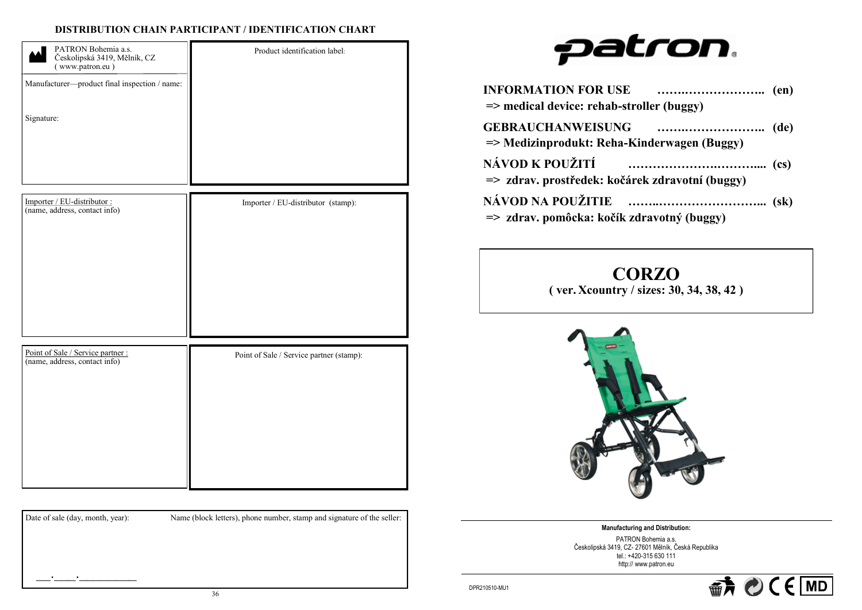## **DISTRIBUTION CHAIN PARTICIPANT / IDENTIFICATION CHART**

| PATRON Bohemia a.s.<br>Českolipská 3419, Mělník, CZ<br>(www.patron.eu)<br>Manufacturer-product final inspection / name:<br>Signature: | Product identification label:      |
|---------------------------------------------------------------------------------------------------------------------------------------|------------------------------------|
|                                                                                                                                       |                                    |
| Importer / EU-distributor :<br>(name, address, contact info)                                                                          | Importer / EU-distributor (stamp): |

| Point of Sale / Service partner :<br>(name, address, contact info) | Point of Sale / Service partner (stamp): |
|--------------------------------------------------------------------|------------------------------------------|
|                                                                    |                                          |
|                                                                    |                                          |
|                                                                    |                                          |
|                                                                    |                                          |
|                                                                    |                                          |

Date of sale (day, month, year): Name (block letters), phone number, stamp and signature of the seller:

# patron.

| <b>INFORMATION FOR USE</b><br>$\Rightarrow$ medical device: rehab-stroller (buggy) |  |
|------------------------------------------------------------------------------------|--|
| <b>GEBRAUCHANWEISUNG</b><br>=> Medizinprodukt: Reha-Kinderwagen (Buggy)            |  |
| NÁVOD K POUŽITÍ<br>=> zdrav. prostředek: kočárek zdravotní (buggy)                 |  |
| NÁVOD NA POUŽITIE<br>=> zdrav. pomôcka: kočík zdravotný (buggy)                    |  |

**CORZO** 

**( ver. Xcountry / sizes: 30, 34, 38, 42 )**



**Manufacturing and Distribution:**  PATRON Bohemia a.s. Českolipská 3419, CZ- 27601 Mělník, Česká Republika tel.: +420-315 630 111 http:// www.patron.eu



 $\frac{1}{2}$  ,  $\frac{1}{2}$  ,  $\frac{1}{2}$  ,  $\frac{1}{2}$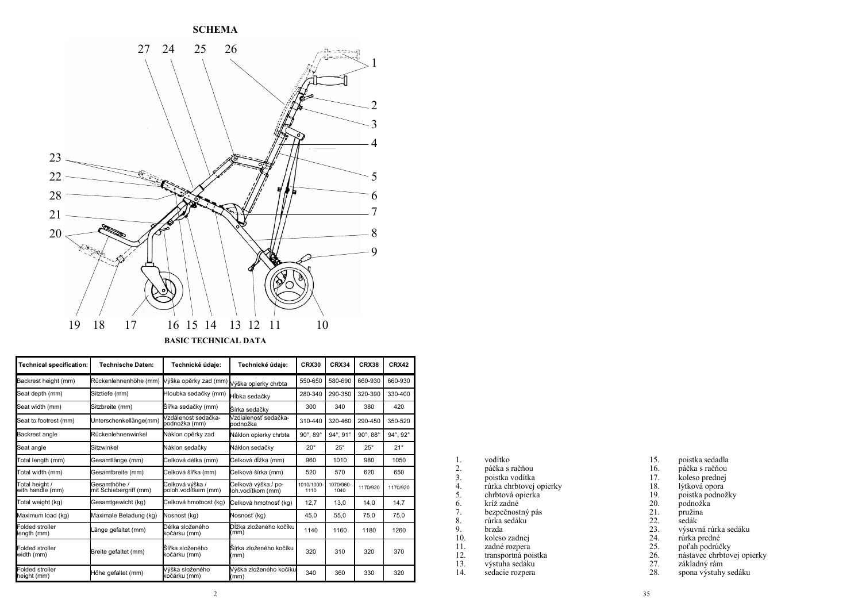

| <b>Technical specification:</b>    | <b>Technische Daten:</b>               | Technické údaie:                       | Technické údaie:                         | CRX30                       | <b>CRX34</b>                | <b>CRX38</b>         | <b>CRX42</b> |
|------------------------------------|----------------------------------------|----------------------------------------|------------------------------------------|-----------------------------|-----------------------------|----------------------|--------------|
| Backrest height (mm)               | Rückenlehnenhöhe (mm)                  | Výška opěrky zad (mm)                  | Výška opierky chrbta                     | 550-650                     | 580-690                     | 660-930              | 660-930      |
| Seat depth (mm)                    | Sitztiefe (mm)                         | Hloubka sedačky (mm)                   | Hĺbka sedačkv                            | 280-340                     | 290-350                     | 320-390              | 330-400      |
| Seat width (mm)                    | Sitzbreite (mm)                        | Šířka sedačky (mm)                     | Šírka sedačkv                            | 300                         | 340                         | 380                  | 420          |
| Seat to footrest (mm)              | Unterschenkellänge(mm)                 | Vzdálenost sedačka-<br>podnožka (mm)   | Vzdialenosť sedačka-<br>podnožka         | 310-440                     | 320-460                     | 290-450              | 350-520      |
| Backrest angle                     | Rückenlehnenwinkel                     | Náklon opěrky zad                      | Náklon opierky chrbta                    | $90^{\circ}$ , $89^{\circ}$ | $94^{\circ}$ , $91^{\circ}$ | $90^\circ, 88^\circ$ | 94°, 92°     |
| Seat angle                         | Sitzwinkel                             | Náklon sedačkv                         | Náklon sedačkv                           | $20^{\circ}$                | $25^{\circ}$                | $25^{\circ}$         | $21^{\circ}$ |
| Total length (mm)                  | Gesamtlänge (mm)                       | Celková délka (mm)                     | Celková dĺžka (mm)                       | 960                         | 1010                        | 980                  | 1050         |
| Total width (mm)                   | Gesamtbreite (mm)                      | Celková šířka (mm)                     | Celková šírka (mm)                       | 520                         | 570                         | 620                  | 650          |
| Total height /<br>with handle (mm) | Gesamthöhe /<br>mit Schiebergriff (mm) | Celková výška /<br>poloh.vodítkem (mm) | Celková výška / po-<br>loh.vodítkom (mm) | 1010/1000<br>1110           | 1070/960-<br>1040           | 1170/920             | 1170/920     |
| Total weight (kg)                  | Gesamtgewicht (kg)                     | Celková hmotnost (kg)                  | Celková hmotnosť (kg)                    | 12,7                        | 13,0                        | 14,0                 | 14,7         |
| Maximum load (kg)                  | Maximale Beladung (kg)                 | Nosnost (kg)                           | Nosnosť (kg)                             | 45.0                        | 55.0                        | 75.0                 | 75,0         |
| Folded stroller<br>ength (mm)      | Länge gefaltet (mm)                    | Délka složeného<br>kočárku (mm)        | Dĺžka zloženého kočíku<br>(mm            | 1140                        | 1160                        | 1180                 | 1260         |
| Folded stroller<br>width (mm)      | Breite gefaltet (mm)                   | Šířka složeného<br>kočárku (mm)        | Šírka zloženého kočíku<br>(mm)           | 320                         | 310                         | 320                  | 370          |
| Folded stroller<br>height (mm)     | Höhe gefaltet (mm)                     | Výška složeného<br>kóčárku (mm)        | Výška zloženého kočíku<br>(mm)           | 340                         | 360                         | 330                  | 320          |

| 1.  | vodítko                 |
|-----|-------------------------|
| 2.  | páčka s račňou          |
| 3.  | poistka vodítka         |
| 4.  | rúrka chrbtovej opierky |
| 5.  | chrbtová opierka        |
| 6.  | kríž zadné              |
| 7.  | bezpečnostný pás        |
| 8.  | rúrka sedáku            |
| 9.  | brzda                   |
| 10. | koleso zadnej           |
| 11. | zadné rozpera           |
| 12. | transportná poistka     |

- $\frac{11}{12}$ .<br>13. 13. výstuha sedáku
- 14. sedacie rozpera
- 15. poistka sedadla<br>16. páčka s račňou
- 16. páčka s račňou
- 17. koleso prednej
- 18. lýtková opora
- 19. poistka podnožky
- 20. podnožka
- 21. pružina
- 22. sedák
- 23. výsuvná rúrka sedáku
- 24. rúrka predné
- 25. poťah podrúčky
- 26. nástavec chrbtovej opierky
- 27. základný rám
- 28. spona výstuhy sedáku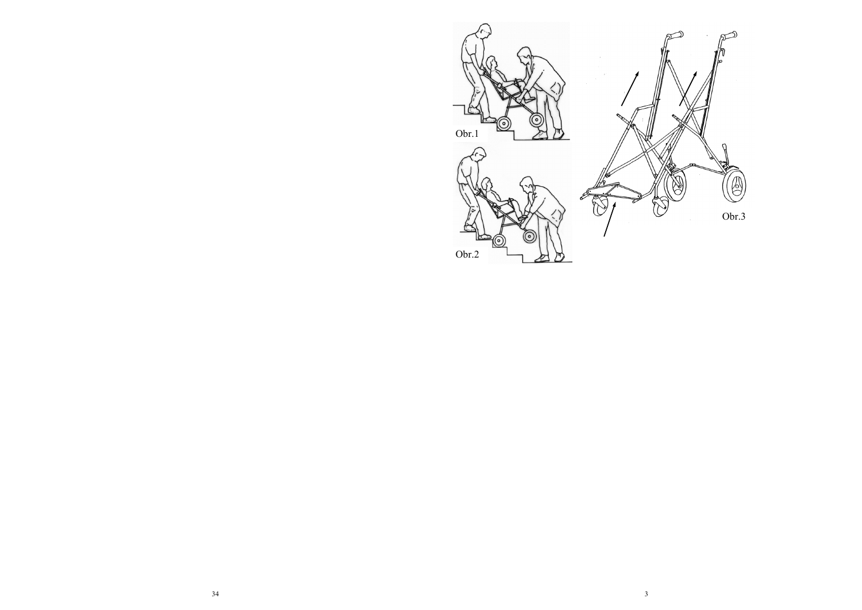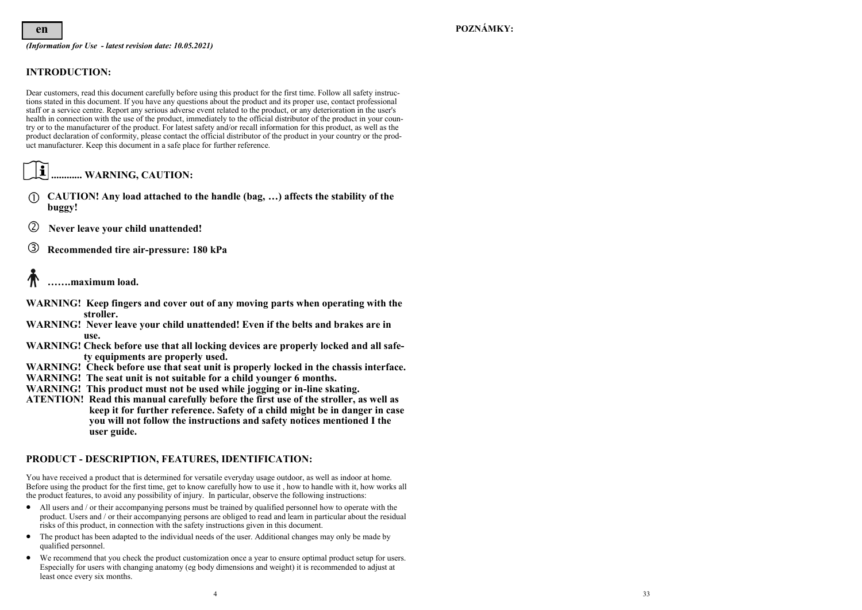*(Information for Use - latest revision date: 10.05.2021)*

## **INTRODUCTION:**

Dear customers, read this document carefully before using this product for the first time. Follow all safety instructions stated in this document. If you have any questions about the product and its proper use, contact professional staff or a service centre. Report any serious adverse event related to the product, or any deterioration in the user's health in connection with the use of the product, immediately to the official distributor of the product in your country or to the manufacturer of the product. For latest safety and/or recall information for this product, as well as the product declaration of conformity, please contact the official distributor of the product in your country or the product manufacturer. Keep this document in a safe place for further reference.

## $|\mathbf{f}|$ **............ WARNING, CAUTION:**

- **CAUTION! Any load attached to the handle (bag, …) affects the stability of the buggy!**
- **Never leave your child unattended!**
- **Recommended tire air-pressure: 180 kPa**

## **…….maximum load.**

- **WARNING! Keep fingers and cover out of any moving parts when operating with the stroller.**
- **WARNING! Never leave your child unattended! Even if the belts and brakes are in use.**
- **WARNING! Check before use that all locking devices are properly locked and all safety equipments are properly used.**
- **WARNING! Check before use that seat unit is properly locked in the chassis interface.**
- **WARNING! The seat unit is not suitable for a child younger 6 months.**
- **WARNING! This product must not be used while jogging or in-line skating.**
- **ATENTION! Read this manual carefully before the first use of the stroller, as well as keep it for further reference. Safety of a child might be in danger in case you will not follow the instructions and safety notices mentioned I the user guide.**

## **PRODUCT - DESCRIPTION, FEATURES, IDENTIFICATION:**

You have received a product that is determined for versatile everyday usage outdoor, as well as indoor at home. Before using the product for the first time, get to know carefully how to use it , how to handle with it, how works all the product features, to avoid any possibility of injury. In particular, observe the following instructions:

- All users and / or their accompanying persons must be trained by qualified personnel how to operate with the product. Users and / or their accompanying persons are obliged to read and learn in particular about the residual risks of this product, in connection with the safety instructions given in this document.
- The product has been adapted to the individual needs of the user. Additional changes may only be made by qualified personnel.
- We recommend that you check the product customization once a year to ensure optimal product setup for users. Especially for users with changing anatomy (eg body dimensions and weight) it is recommended to adjust at least once every six months.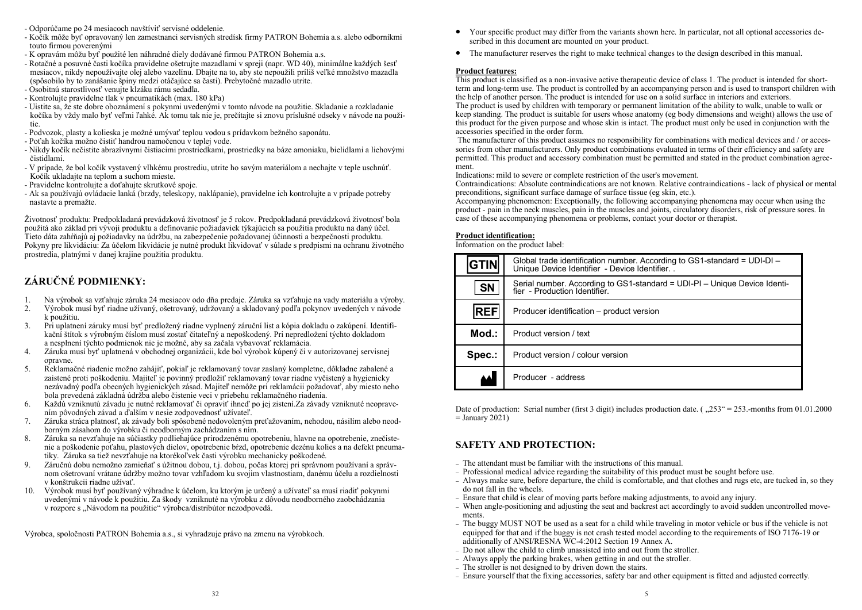- Odporúčame po 24 mesiacoch navštíviť servisné oddelenie.
- Kočík môže byť opravovaný len zamestnanci servisných stredísk firmy PATRON Bohemia a.s. alebo odborníkmi touto firmou poverenými
- K opravám môžu byť použité len náhradné diely dodávané firmou PATRON Bohemia a.s.
- Rotačné a posuvné časti kočíka pravidelne ošetrujte mazadlami v spreji (napr. WD 40), minimálne každých šesť mesiacov, nikdy nepoužívajte olej alebo vazelínu. Dbajte na to, aby ste nepoužili príliš veľké množstvo mazadla (spôsobilo by to zanášanie špiny medzi otáčajúce sa časti). Prebytočné mazadlo utrite.
- Osobitnú starostlivosť venujte klzáku rámu sedadla.
- Kontrolujte pravidelne tlak v pneumatikách (max. 180 kPa)
- Uistite sa, že ste dobre oboznámení s pokynmi uvedenými v tomto návode na použitie. Skladanie a rozkladanie kočíka by vždy malo byť veľmi ľahké. Ak tomu tak nie je, prečítajte si znovu príslušné odseky v návode na použitie.
- Podvozok, plasty a kolieska je možné umývať teplou vodou s prídavkom bežného saponátu.
- Poťah kočíka možno čistiť handrou namočenou v teplej vode.
- Nikdy kočík nečistite abrazívnymi čistiacimi prostriedkami, prostriedky na báze amoniaku, bielidlami a liehovými čistidlami.
- V prípade, že bol kočík vystavený vlhkému prostrediu, utrite ho savým materiálom a nechajte v teple uschnúť. Kočík ukladajte na teplom a suchom mieste.
- Pravidelne kontrolujte a doťahujte skrutkové spoje.
- Ak sa používajú ovládacie lanká (brzdy, teleskopy, naklápanie), pravidelne ich kontrolujte a v prípade potreby nastavte a premažte.

Životnosť produktu: Predpokladaná prevádzková životnosť je 5 rokov. Predpokladaná prevádzková životnosť bola použitá ako základ pri vývoji produktu a definovanie požiadaviek týkajúcich sa použitia produktu na daný účel. Tieto dáta zahŕňajú aj požiadavky na údržbu, na zabezpečenie požadovanej účinnosti a bezpečnosti produktu. Pokyny pre likvidáciu: Za účelom likvidácie je nutné produkt likvidovať v súlade s predpismi na ochranu životného prostredia, platnými v danej krajine použitia produktu.

## **ZÁRUČNÉ PODMIENKY:**

- 1. Na výrobok sa vzťahuje záruka 24 mesiacov odo dňa predaje. Záruka sa vzťahuje na vady materiálu a výroby.<br>2. Výrobok musí byť riadne užívaný, ošetrovaný, udržovaný a skladovaný podľa pokynov uvedených v návode
- 2. Výrobok musí byť riadne užívaný, ošetrovaný, udržovaný a skladovaný podľa pokynov uvedených v návode k použitiu.
- 3. Pri uplatnení záruky musí byť predložený riadne vyplnený záruční list a kópia dokladu o zakúpení. Identifikační štítok s výrobným číslom musí zostať čitateľný a nepoškodený. Pri nepredložení týchto dokladom a nesplnení týchto podmienok nie je možné, aby sa začala vybavovať reklamácia.
- 4. Záruka musí byť uplatnená v obchodnej organizácii, kde bol výrobok kúpený či v autorizovanej servisnej opravne.
- 5. Reklamačné riadenie možno zahájiť, pokiaľ je reklamovaný tovar zaslaný kompletne, dôkladne zabalené a zaistené proti poškodeniu. Majiteľ je povinný predložiť reklamovaný tovar riadne vyčistený a hygienicky nezávadný podľa obecných hygienických zásad. Majiteľ nemôže pri reklamácii požadovať, aby miesto neho bola prevedená základná údržba alebo čistenie veci v priebehu reklamačného riadenia.
- 6. Každú vzniknutú závadu je nutné reklamovať či opraviť ihneď po jej zistení.Za závady vzniknuté neopravením pôvodných závad a ďalším v nesie zodpovednosť užívateľ.
- 7. Záruka stráca platnosť, ak závady boli spôsobené nedovoleným preťažovaním, nehodou, násilím alebo neodborným zásahom do výrobku či neodborným zachádzaním s ním.
- 8. Záruka sa nevzťahuje na súčiastky podliehajúce prirodzenému opotrebeniu, hlavne na opotrebenie, znečistenie a poškodenie poťahu, plastových dielov, opotrebenie bŕzd, opotrebenie dezénu kolies a na defekt pneumatiky. Záruka sa tiež nevzťahuje na ktorékoľvek časti výrobku mechanicky poškodené.
- 9. Záručnú dobu nemožno zamieňať s úžitnou dobou, t.j. dobou, počas ktorej pri správnom používaní a správnom ošetrovaní vrátane údržby možno tovar vzhľadom ku svojim vlastnostiam, danému účelu a rozdielnosti v konštrukcii riadne užívať.
- 10. Výrobok musí byť používaný výhradne k účelom, ku ktorým je určený a užívateľ sa musí riadiť pokynmi uvedenými v návode k použitiu. Za škody vzniknuté na výrobku z dôvodu neodborného zaobchádzania v rozpore s "Návodom na použitie" výrobca/distribútor nezodpovedá.

Výrobca, spoločnosti PATRON Bohemia a.s., si vyhradzuje právo na zmenu na výrobkoch.

- Your specific product may differ from the variants shown here. In particular, not all optional accessories described in this document are mounted on your product.
- The manufacturer reserves the right to make technical changes to the design described in this manual.

#### **Product features:**

This product is classified as a non-invasive active therapeutic device of class 1. The product is intended for shortterm and long-term use. The product is controlled by an accompanying person and is used to transport children with the help of another person. The product is intended for use on a solid surface in interiors and exteriors.

The product is used by children with temporary or permanent limitation of the ability to walk, unable to walk or keep standing. The product is suitable for users whose anatomy (eg body dimensions and weight) allows the use of this product for the given purpose and whose skin is intact. The product must only be used in conjunction with the accessories specified in the order form.

The manufacturer of this product assumes no responsibility for combinations with medical devices and / or accessories from other manufacturers. Only product combinations evaluated in terms of their efficiency and safety are permitted. This product and accessory combination must be permitted and stated in the product combination agreement.

Indications: mild to severe or complete restriction of the user's movement.

Contraindications: Absolute contraindications are not known. Relative contraindications - lack of physical or mental preconditions, significant surface damage of surface tissue (eg skin, etc.).

Accompanying phenomenon: Exceptionally, the following accompanying phenomena may occur when using the product - pain in the neck muscles, pain in the muscles and joints, circulatory disorders, risk of pressure sores. In case of these accompanying phenomena or problems, contact your doctor or therapist.

#### **Product identification:**

Information on the product label:

| <b>GTIN</b> | Global trade identification number. According to GS1-standard = $UDI - DI$<br>Unique Device Identifier - Device Identifier. . |
|-------------|-------------------------------------------------------------------------------------------------------------------------------|
| <b>SN</b>   | Serial number. According to GS1-standard = UDI-PI - Unique Device Identi-<br>fier - Production Identifier.                    |
| <b>REF</b>  | Producer identification – product version                                                                                     |
| $Mod.$ :    | Product version / text                                                                                                        |
| Spec.:      | Product version / colour version                                                                                              |
|             | Producer - address                                                                                                            |

Date of production: Serial number (first 3 digit) includes production date.  $\zeta$ ,  $253^{\circ} = 253$ .-months from 01.01.2000  $=$  January 2021)

## **SAFETY AND PROTECTION:**

- − The attendant must be familiar with the instructions of this manual.
- − Professional medical advice regarding the suitability of this product must be sought before use.
- − Always make sure, before departure, the child is comfortable, and that clothes and rugs etc, are tucked in, so they do not fall in the wheels.
- − Ensure that child is clear of moving parts before making adjustments, to avoid any injury.
- − When angle-positioning and adjusting the seat and backrest act accordingly to avoid sudden uncontrolled movements.
- − The buggy MUST NOT be used as a seat for a child while traveling in motor vehicle or bus if the vehicle is not equipped for that and if the buggy is not crash tested model according to the requirements of ISO 7176-19 or additionally of ANSI/RESNA WC-4:2012 Section 19 Annex A.
- − Do not allow the child to climb unassisted into and out from the stroller.
- − Always apply the parking brakes, when getting in and out the stroller.
- − The stroller is not designed to by driven down the stairs.
- − Ensure yourself that the fixing accessories, safety bar and other equipment is fitted and adjusted correctly.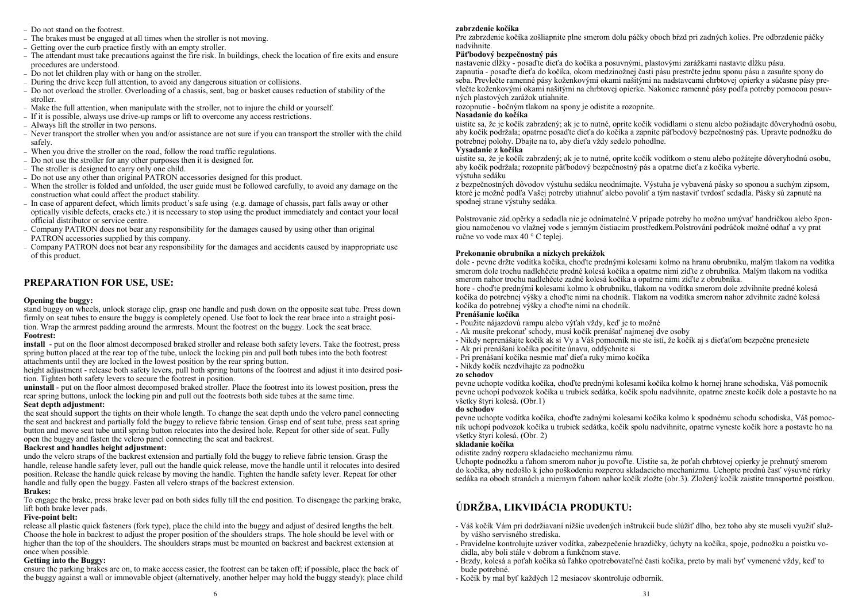- − Do not stand on the footrest.
- − The brakes must be engaged at all times when the stroller is not moving.
- − Getting over the curb practice firstly with an empty stroller.
- − The attendant must take precautions against the fire risk. In buildings, check the location of fire exits and ensure procedures are understood.
- − Do not let children play with or hang on the stroller.
- − During the drive keep full attention, to avoid any dangerous situation or collisions.
- − Do not overload the stroller. Overloading of a chassis, seat, bag or basket causes reduction of stability of the stroller.
- − Make the full attention, when manipulate with the stroller, not to injure the child or yourself.
- − If it is possible, always use drive-up ramps or lift to overcome any access restrictions.
- − Always lift the stroller in two persons.
- − Never transport the stroller when you and/or assistance are not sure if you can transport the stroller with the child safely.
- − When you drive the stroller on the road, follow the road traffic regulations.
- − Do not use the stroller for any other purposes then it is designed for.
- − The stroller is designed to carry only one child.
- − Do not use any other than original PATRON accessories designed for this product.
- − When the stroller is folded and unfolded, the user guide must be followed carefully, to avoid any damage on the construction what could affect the product stability.
- − In case of apparent defect, which limits product's safe using (e.g. damage of chassis, part falls away or other optically visible defects, cracks etc.) it is necessary to stop using the product immediately and contact your local official distributor or service centre.
- − Company PATRON does not bear any responsibility for the damages caused by using other than original PATRON accessories supplied by this company.
- − Company PATRON does not bear any responsibility for the damages and accidents caused by inappropriate use of this product.

## **PREPARATION FOR USE, USE:**

#### **Opening the buggy:**

stand buggy on wheels, unlock storage clip, grasp one handle and push down on the opposite seat tube. Press down firmly on seat tubes to ensure the buggy is completely opened. Use foot to lock the rear brace into a straight position. Wrap the armrest padding around the armrests. Mount the footrest on the buggy. Lock the seat brace. **Footrest:**

**install** - put on the floor almost decomposed braked stroller and release both safety levers. Take the footrest, press spring button placed at the rear top of the tube, unlock the locking pin and pull both tubes into the both footrest attachments until they are locked in the lowest position by the rear spring button.

height adjustment - release both safety levers, pull both spring buttons of the footrest and adjust it into desired position. Tighten both safety levers to secure the footrest in position.

**uninstall** - put on the floor almost decomposed braked stroller. Place the footrest into its lowest position, press the rear spring buttons, unlock the locking pin and pull out the footrests both side tubes at the same time. **Seat depth adjustment:**

the seat should support the tights on their whole length. To change the seat depth undo the velcro panel connecting the seat and backrest and partially fold the buggy to relieve fabric tension. Grasp end of seat tube, press seat spring button and move seat tube until spring button relocates into the desired hole. Repeat for other side of seat. Fully open the buggy and fasten the velcro panel connecting the seat and backrest.

#### **Backrest and handles height adjustment:**

undo the velcro straps of the backrest extension and partially fold the buggy to relieve fabric tension. Grasp the handle, release handle safety lever, pull out the handle quick release, move the handle until it relocates into desired position. Release the handle quick release by moving the handle. Tighten the handle safety lever. Repeat for other handle and fully open the buggy. Fasten all velcro straps of the backrest extension.

#### **Brakes:**

To engage the brake, press brake lever pad on both sides fully till the end position. To disengage the parking brake, lift both brake lever pads.

#### **Five-point belt:**

release all plastic quick fasteners (fork type), place the child into the buggy and adjust of desired lengths the belt. Choose the hole in backrest to adjust the proper position of the shoulders straps. The hole should be level with or higher than the top of the shoulders. The shoulders straps must be mounted on backrest and backrest extension at once when possible.

#### **Getting into the Buggy:**

ensure the parking brakes are on, to make access easier, the footrest can be taken off; if possible, place the back of the buggy against a wall or immovable object (alternatively, another helper may hold the buggy steady); place child

#### **zabrzdenie kočíka**

Pre zabrzdenie kočíka zošliapnite plne smerom dolu páčky oboch bŕzd pri zadných kolies. Pre odbrzdenie páčky nadvihnite.

#### **Päťbodový bezpečnostný pás**

nastavenie dĺžky - posaďte dieťa do kočíka a posuvnými, plastovými zarážkami nastavte dĺžku pásu. zapnutia - posaďte dieťa do kočíka, okom medzinožnej časti pásu prestrčte jednu sponu pásu a zasuňte spony do seba. Prevlečte ramenné pásy koženkovými okami našitými na nadstavcami chrbtovej opierky a súčasne pásy prevlečte koženkovými okami našitými na chrbtovej opierke. Nakoniec ramenné pásy podľa potreby pomocou posuvných plastových zarážok utiahnite.

rozopnutie - bočným tlakom na spony je odistite a rozopnite.

#### **Nasadanie do kočíka**

uistite sa, že je kočík zabrzdený; ak je to nutné, oprite kočík vodidlami o stenu alebo požiadajte dôveryhodnú osobu, aby kočík podržala; opatrne posaďte dieťa do kočíka a zapnite päťbodový bezpečnostný pás. Upravte podnožku do potrebnej polohy. Dbajte na to, aby dieťa vždy sedelo pohodlne.

#### **Vysadanie z kočíka**

uistite sa, že je kočík zabrzdený; ak je to nutné, oprite kočík vodítkom o stenu alebo požátejte dôveryhodnú osobu, aby kočík podržala; rozopnite päťbodový bezpečnostný pás a opatrne dieťa z kočíka vyberte. výstuha sedáku

z bezpečnostných dôvodov výstuhu sedáku neodnímajte. Výstuha je vybavená pásky so sponou a suchým zipsom, ktoré je možné podľa Vašej potreby utiahnuť alebo povoliť a tým nastaviť tvrdosť sedadla. Pásky sú zapnuté na spodnej strane výstuhy sedáka.

Polstrovanie zád.opěrky a sedadla nie je odnímatelné.V prípade potreby ho možno umývať handričkou alebo špongiou namočenou vo vlažnej vode s jemným čistiacim prostředkem.Polstrování podrúčok možné odňať a vy prat ručne vo vode max 40 ° C teplej.

#### **Prekonanie obrubníka a nízkych prekážok**

dole - pevne držte vodítka kočíka, choďte prednými kolesami kolmo na hranu obrubníku, malým tlakom na vodítka smerom dole trochu nadlehčete predné kolesá kočíka a opatrne nimi zíďte z obrubníka. Malým tlakom na vodítka smerom nahor trochu nadlehčete zadné kolesá kočíka a opatrne nimi zíďte z obrubníka.

hore - choďte prednými kolesami kolmo k obrubníku, tlakom na vodítka smerom dole zdvihnite predné kolesá kočíka do potrebnej výšky a choďte nimi na chodník. Tlakom na vodítka smerom nahor zdvihnite zadné kolesá kočíka do potrebnej výšky a choďte nimi na chodník.

#### **Prenášanie kočíka**

- Použite nájazdovú rampu alebo výťah vždy, keď je to možné
- Ak musíte prekonať schody, musí kočík prenášať najmenej dve osoby
- Nikdy neprenášajte kočík ak si Vy a Váš pomocník nie ste istí, že kočík aj s dieťaťom bezpečne prenesiete
- Ak pri prenášaní kočíka pocítite únavu, oddýchnite si
- Pri prenášaní kočíka nesmie mať dieťa ruky mimo kočíka
- Nikdy kočík nezdvíhajte za podnožku

#### **zo schodov**

pevne uchopte vodítka kočíka, choďte prednými kolesami kočíka kolmo k hornej hrane schodiska, Váš pomocník pevne uchopí podvozok kočíka u trubiek sedátka, kočík spolu nadvihnite, opatrne zneste kočík dole a postavte ho na všetky štyri kolesá. (Obr.1)

#### **do schodov**

pevne uchopte vodítka kočíka, choďte zadnými kolesami kočíka kolmo k spodnému schodu schodiska, Váš pomocník uchopí podvozok kočíka u trubiek sedátka, kočík spolu nadvihnite, opatrne vyneste kočík hore a postavte ho na všetky štyri kolesá. (Obr. 2)

#### **skladanie kočíka**

odistite zadný rozperu skladacieho mechanizmu rámu.

Uchopte podnožku a ťahom smerom nahor ju povoľte. Uistite sa, že poťah chrbtovej opierky je prehnutý smerom do kočíka, aby nedošlo k jeho poškodeniu rozperou skladacieho mechanizmu. Uchopte prednú časť výsuvné rúrky sedáka na oboch stranách a miernym ťahom nahor kočík zložte (obr.3). Zložený kočík zaistite transportné poistkou.

## **ÚDRŽBA, LIKVIDÁCIA PRODUKTU:**

- Váš kočík Vám pri dodržiavaní nižšie uvedených inštrukcií bude slúžiť dlho, bez toho aby ste museli využiť služby vášho servisného strediska.
- Pravidelne kontrolujte uzáver vodítka, zabezpečenie hrazdičky, úchyty na kočíka, spoje, podnožku a poistku vodidla, aby boli stále v dobrom a funkčnom stave.
- Brzdy, kolesá a poťah kočíka sú ľahko opotrebovateľné časti kočíka, preto by mali byť vymenené vždy, keď to bude potrebné.
- Kočík by mal byť každých 12 mesiacov skontroluje odborník.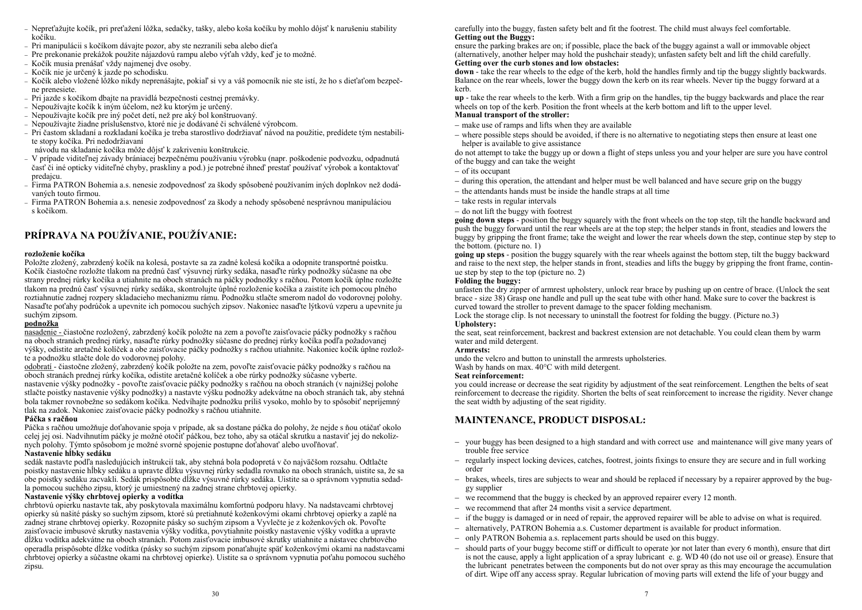- − Nepreťažujte kočík, pri preťažení lôžka, sedačky, tašky, alebo koša kočíku by mohlo dôjsť k narušeniu stability kočíku.
- − Pri manipulácii s kočíkom dávajte pozor, aby ste nezranili seba alebo dieťa
- − Pre prekonanie prekážok použite nájazdovú rampu alebo výťah vždy, keď je to možné.
- − Kočík musia prenášať vždy najmenej dve osoby.
- − Kočík nie je určený k jazde po schodisku.
- − Kočík alebo vložené lôžko nikdy neprenášajte, pokiaľ si vy a váš pomocník nie ste istí, že ho s dieťaťom bezpečne prenesiete.
- − Pri jazde s kočíkom dbajte na pravidlá bezpečnosti cestnej premávky.
- − Nepoužívajte kočík k iným účelom, než ku ktorým je určený.
- − Nepoužívajte kočík pre iný počet detí, než pre aký bol konštruovaný.
- − Nepoužívajte žiadne príslušenstvo, ktoré nie je dodávané či schválené výrobcom.
- − Pri častom skladaní a rozkladaní kočíka je treba starostlivo dodržiavať návod na použitie, predídete tým nestabilite stopy kočíka. Pri nedodržiavaní

návodu na skladanie kočíka môže dôjsť k zakriveniu konštrukcie.

- − V prípade viditeľnej závady brániacej bezpečnému používaniu výrobku (napr. poškodenie podvozku, odpadnutá časť či iné opticky viditeľné chyby, praskliny a pod.) je potrebné ihneď prestať používať výrobok a kontaktovať predajcu.
- − Firma PATRON Bohemia a.s. nenesie zodpovednosť za škody spôsobené používaním iných doplnkov než dodávaných touto firmou.
- − Firma PATRON Bohemia a.s. nenesie zodpovednosť za škody a nehody spôsobené nesprávnou manipuláciou s kočíkom.

## **PRÍPRAVA NA POUŽÍVANIE, POUŽÍVANIE:**

#### **rozloženie kočíka**

Položte zložený, zabrzdený kočík na kolesá, postavte sa za zadné kolesá kočíka a odopnite transportné poistku. Kočík čiastočne rozložte tlakom na prednú časť výsuvnej rúrky sedáka, nasaďte rúrky podnožky súčasne na obe strany prednej rúrky kočíka a utiahnite na oboch stranách na páčky podnožky s račňou. Potom kočík úplne rozložte tlakom na prednú časť výsuvnej rúrky sedáka, skontrolujte úplné rozloženie kočíka a zaistite ich pomocou plného roztiahnutie zadnej rozpery skladacieho mechanizmu rámu. Podnožku stlačte smerom nadol do vodorovnej polohy. Nasaďte poťahy podrúčok a upevnite ich pomocou suchých zipsov. Nakoniec nasaďte lýtkovú vzperu a upevnite ju suchým zipsom.

#### **podnožka**

nasadenie - čiastočne rozložený, zabrzdený kočík položte na zem a povoľte zaisťovacie páčky podnožky s račňou na oboch stranách prednej rúrky, nasaďte rúrky podnožky súčasne do prednej rúrky kočíka podľa požadovanej výšky, odistite aretačné kolíček a obe zaisťovacie páčky podnožky s račňou utiahnite. Nakoniec kočík úplne rozložte a podnožku stlačte dole do vodorovnej polohy.

odobratí - čiastočne zložený, zabrzdený kočík položte na zem, povoľte zaisťovacie páčky podnožky s račňou na oboch stranách prednej rúrky kočíka, odistite aretačné kolíček a obe rúrky podnožky súčasne vyberte. nastavenie výšky podnožky - povoľte zaisťovacie páčky podnožky s račňou na oboch stranách (v najnižšej polohe stlačte poistky nastavenie výšky podnožky) a nastavte výšku podnožky adekvátne na oboch stranách tak, aby stehná bola takmer rovnobežne so sedákom kočíka. Nedvíhajte podnožku príliš vysoko, mohlo by to spôsobiť nepríjemný tlak na zadok. Nakoniec zaisťovacie páčky podnožky s račňou utiahnite.

#### **Páčka s račňou**

Páčka s račňou umožňuje doťahovanie spoja v prípade, ak sa dostane páčka do polohy, že nejde s ňou otáčať okolo celej jej osi. Nadvihnutím páčky je možné otočiť páčkou, bez toho, aby sa otáčal skrutku a nastaviť jej do nekolíznych polohy. Týmto spôsobom je možné svorné spojenie postupne doťahovať alebo uvoľňovať.

#### **Nastavenie hĺbky sedáku**

sedák nastavte podľa nasledujúcich inštrukcií tak, aby stehná bola podopretá v čo najväčšom rozsahu. Odtlačte poistky nastavenie hĺbky sedáku a upravte dĺžku výsuvnej rúrky sedadla rovnako na oboch stranách, uistite sa, že sa obe poistky sedáku zacvakli. Sedák prispôsobte dĺžke výsuvné rúrky sedáka. Uistite sa o správnom vypnutia sedadla pomocou suchého zipsu, ktorý je umiestnený na zadnej strane chrbtovej opierky.

#### **Nastavenie výšky chrbtovej opierky a vodítka**

chrbtovú opierku nastavte tak, aby poskytovala maximálnu komfortnú podporu hlavy. Na nadstavcami chrbtovej opierky sú našité pásky so suchým zipsom, ktoré sú pretiahnuté koženkovými okami chrbtovej opierky a zaplé na zadnej strane chrbtovej opierky. Rozopnite pásky so suchým zipsom a Vyvlečte je z koženkových ok. Povoľte zaisťovacie imbusové skrutky nastavenia výšky vodítka, povytiahnite poistky nastavenie výšky vodítka a upravte dĺžku vodítka adekvátne na oboch stranách. Potom zaisťovacie imbusové skrutky utiahnite a nástavec chrbtového operadla prispôsobte dĺžke vodítka (pásky so suchým zipsom ponaťahujte späť koženkovými okami na nadstavcami chrbtovej opierky a súčastne okami na chrbtovej opierke). Uistite sa o správnom vypnutia poťahu pomocou suchého zipsu.

carefully into the buggy, fasten safety belt and fit the footrest. The child must always feel comfortable. **Getting out the Buggy:**

ensure the parking brakes are on; if possible, place the back of the buggy against a wall or immovable object (alternatively, another helper may hold the pushchair steady); unfasten safety belt and lift the child carefully. **Getting over the curb stones and low obstacles:** 

**down** - take the rear wheels to the edge of the kerb, hold the handles firmly and tip the buggy slightly backwards. Balance on the rear wheels, lower the buggy down the kerb on its rear wheels. Never tip the buggy forward at a kerb.

**up** - take the rear wheels to the kerb. With a firm grip on the handles, tip the buggy backwards and place the rear wheels on top of the kerb. Position the front wheels at the kerb bottom and lift to the upper level. **Manual transport of the stroller:**

- − make use of ramps and lifts when they are available
- − where possible steps should be avoided, if there is no alternative to negotiating steps then ensure at least one helper is available to give assistance

do not attempt to take the buggy up or down a flight of steps unless you and your helper are sure you have control of the buggy and can take the weight

- − of its occupant
- − during this operation, the attendant and helper must be well balanced and have secure grip on the buggy
- − the attendants hands must be inside the handle straps at all time
- − take rests in regular intervals
- − do not lift the buggy with footrest

**going down steps** - position the buggy squarely with the front wheels on the top step, tilt the handle backward and push the buggy forward until the rear wheels are at the top step; the helper stands in front, steadies and lowers the buggy by gripping the front frame; take the weight and lower the rear wheels down the step, continue step by step to the bottom. (picture no. 1)

**going up steps** - position the buggy squarely with the rear wheels against the bottom step, tilt the buggy backward and raise to the next step, the helper stands in front, steadies and lifts the buggy by gripping the front frame, continue step by step to the top (picture no. 2)

#### **Folding the buggy:**

unfasten the dry zipper of armrest upholstery, unlock rear brace by pushing up on centre of brace. (Unlock the seat brace - size 38) Grasp one handle and pull up the seat tube with other hand. Make sure to cover the backrest is curved toward the stroller to prevent damage to the spacer folding mechanism.

Lock the storage clip. Is not necessary to uninstall the footrest for folding the buggy. (Picture no.3)

## **Upholstery:**

the seat, seat reinforcement, backrest and backrest extension are not detachable. You could clean them by warm water and mild detergent.

#### **Armrests:**

undo the velcro and button to uninstall the armrests upholsteries.

Wash by hands on max. 40°C with mild detergent.

#### **Seat reinforcement:**

you could increase or decrease the seat rigidity by adjustment of the seat reinforcement. Lengthen the belts of seat reinforcement to decrease the rigidity. Shorten the belts of seat reinforcement to increase the rigidity. Never change the seat width by adjusting of the seat rigidity.

## **MAINTENANCE, PRODUCT DISPOSAL:**

- − your buggy has been designed to a high standard and with correct use and maintenance will give many years of trouble free service
- − regularly inspect locking devices, catches, footrest, joints fixings to ensure they are secure and in full working order
- − brakes, wheels, tires are subjects to wear and should be replaced if necessary by a repairer approved by the buggy supplier
- − we recommend that the buggy is checked by an approved repairer every 12 month.
- we recommend that after 24 months visit a service department.
- − if the buggy is damaged or in need of repair, the approved repairer will be able to advise on what is required.
- alternatively, PATRON Bohemia a.s. Customer department is available for product information.
- − only PATRON Bohemia a.s. replacement parts should be used on this buggy.
- − should parts of your buggy become stiff or difficult to operate )or not later than every 6 month), ensure that dirt is not the cause, apply a light application of a spray lubricant e. g. WD 40 (do not use oil or grease). Ensure that the lubricant penetrates between the components but do not over spray as this may encourage the accumulation of dirt. Wipe off any access spray. Regular lubrication of moving parts will extend the life of your buggy and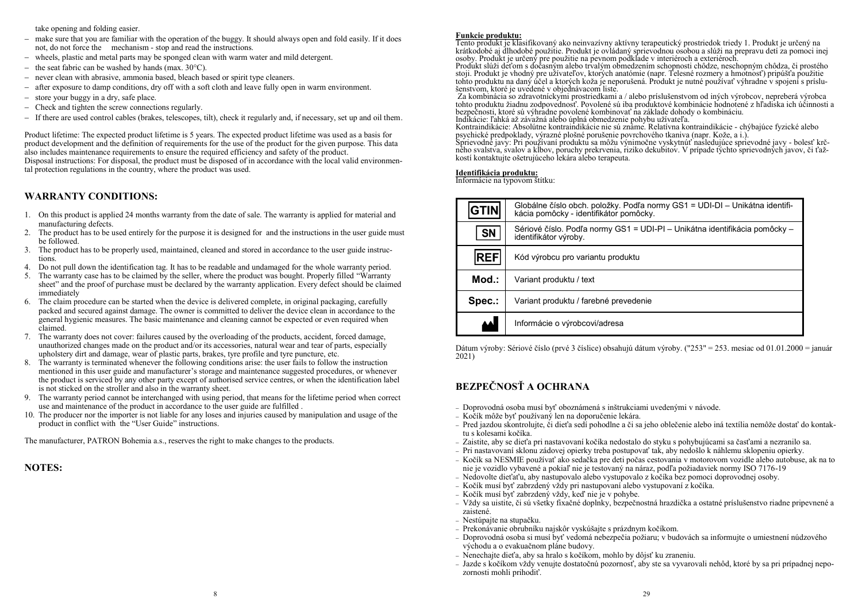take opening and folding easier.

- − make sure that you are familiar with the operation of the buggy. It should always open and fold easily. If it does not, do not force the mechanism - stop and read the instructions.
- − wheels, plastic and metal parts may be sponged clean with warm water and mild detergent.
- the seat fabric can be washed by hands (max.  $30^{\circ}$ C).
- never clean with abrasive, ammonia based, bleach based or spirit type cleaners.
- − after exposure to damp conditions, dry off with a soft cloth and leave fully open in warm environment.
- − store your buggy in a dry, safe place.
- − Check and tighten the screw connections regularly.
- − If there are used control cables (brakes, telescopes, tilt), check it regularly and, if necessary, set up and oil them.

Product lifetime: The expected product lifetime is 5 years. The expected product lifetime was used as a basis for product development and the definition of requirements for the use of the product for the given purpose. This data also includes maintenance requirements to ensure the required efficiency and safety of the product. Disposal instructions: For disposal, the product must be disposed of in accordance with the local valid environmental protection regulations in the country, where the product was used.

## **WARRANTY CONDITIONS:**

- 1. On this product is applied 24 months warranty from the date of sale. The warranty is applied for material and manufacturing defects.
- 2. The product has to be used entirely for the purpose it is designed for and the instructions in the user guide must be followed.
- 3. The product has to be properly used, maintained, cleaned and stored in accordance to the user guide instructions.
- 4. Do not pull down the identification tag. It has to be readable and undamaged for the whole warranty period.
- 5. The warranty case has to be claimed by the seller, where the product was bought. Properly filled "Warranty sheet" and the proof of purchase must be declared by the warranty application. Every defect should be claimed immediately
- 6. The claim procedure can be started when the device is delivered complete, in original packaging, carefully packed and secured against damage. The owner is committed to deliver the device clean in accordance to the general hygienic measures. The basic maintenance and cleaning cannot be expected or even required when claimed.
- 7. The warranty does not cover: failures caused by the overloading of the products, accident, forced damage, unauthorized changes made on the product and/or its accessories, natural wear and tear of parts, especially upholstery dirt and damage, wear of plastic parts, brakes, tyre profile and tyre puncture, etc.
- 8. The warranty is terminated whenever the following conditions arise: the user fails to follow the instruction mentioned in this user guide and manufacturer's storage and maintenance suggested procedures, or whenever the product is serviced by any other party except of authorised service centres, or when the identification label is not sticked on the stroller and also in the warranty sheet.
- 9. The warranty period cannot be interchanged with using period, that means for the lifetime period when correct use and maintenance of the product in accordance to the user guide are fulfilled .
- 10. The producer nor the importer is not liable for any loses and injuries caused by manipulation and usage of the product in conflict with the "User Guide" instructions.

The manufacturer, PATRON Bohemia a.s., reserves the right to make changes to the products.

## **NOTES:**

#### **Funkcie produktu:**

Tento produkt je klasifikovaný ako neinvazívny aktívny terapeutický prostriedok triedy 1. Produkt je určený na krátkodobé aj dlhodobé použitie. Produkt je ovládaný sprievodnou osobou a slúži na prepravu detí za pomoci inej<br>osoby. Produkt je určený pre použitie na pevnom podklade v interiéroch a exteriéroch.<br>Produkt slúži deťom s do

stoji. Produkt je vhodný pre užívateľov, ktorých anatómie (napr. Telesné rozmery a hmotnosť) pripúšťa použitie tohto produktu na daný účel a ktorých koža je neporušená. Produkt je nutné používať výhradne v spojení s príslušenstvom, ktoré je uvedené v objednávacom liste.

Za kombinácia so zdravotníckymi prostriedkami a / alebo príslušenstvom od iných výrobcov, nepreberá výrobca tohto produktu žiadnu zodpovednosť. Povolené sú iba produktové kombinácie hodnotené z hľadiska ich účinnosti a bezpečnosti, ktoré sú výhradne povolené kombinovať na základe dohody o kombináciu. Indikácie: ľahká až závažná alebo úplná obmedzenie pohybu užívateľa.

Kontraindikácie: Absolútne kontraindikácie nie sú známe. Relatívna kontraindikácie - chýbajúce fyzické alebo psychické predpoklady, výrazné plošné porušenie povrchového tkaniva (napr. Kože, a i.).

Sprievodné javy: Pri používaní produktu sa môžu výnimočne vyskytnúť nasledujúce sprievodné javy - bolesť krčného svalstva, svalov a kĺbov, poruchy prekrvenia, riziko dekubitov. V prípade týchto sprievodných javov, či ťažkostí kontaktujte ošetrujúceho lekára alebo terapeuta.

#### **Identifikácia produktu:**

Informácie na typovom štítku:

| <b>IGTINI</b> | Globálne číslo obch. položky. Podľa normy GS1 = UDI-DI – Unikátna identifi-<br>kácia pomôcky - identifikátor pomôcky. |
|---------------|-----------------------------------------------------------------------------------------------------------------------|
| <b>SN</b>     | Sériové číslo. Podľa normy GS1 = UDI-PI – Unikátna identifikácia pomôcky –<br>identifikátor výroby.                   |
| <b>REF</b>    | Kód výrobcu pro variantu produktu                                                                                     |
| Mod.:         | Variant produktu / text                                                                                               |
| Spec.:        | Variant produktu / farebné prevedenie                                                                                 |
|               | Informácie o výrobcovi/adresa                                                                                         |

Dátum výroby: Sériové číslo (prvé 3 číslice) obsahujú dátum výroby. ("253" = 253. mesiac od 01.01.2000 = január 2021)

## **BEZPEČNOSŤ A OCHRANA**

- − Doprovodná osoba musí byť oboznámená s inštrukciami uvedenými v návode.
- − Kočík môže byť používaný len na doporučenie lekára.
- − Pred jazdou skontrolujte, či dieťa sedí pohodlne a či sa jeho oblečenie alebo iná textília nemôže dostať do kontaktu s kolesami kočíka.
- − Zaistite, aby se dieťa pri nastavovaní kočíka nedostalo do styku s pohybujúcami sa časťami a nezranilo sa.
- − Pri nastavovaní sklonu zádovej opierky treba postupovať tak, aby nedošlo k náhlemu sklopeniu opierky.
- − Kočík sa NESMIE používať ako sedačka pre deti počas cestovania v motorovom vozidle alebo autobuse, ak na to nie je vozidlo vybavené a pokiaľ nie je testovaný na náraz, podľa požiadaviek normy ISO 7176-19
- − Nedovolte dieťaťu, aby nastupovalo alebo vystupovalo z kočíka bez pomoci doprovodnej osoby.
- − Kočík musí byť zabrzdený vždy pri nastupovaní alebo vystupovaní z kočíka.
- − Kočík musí byť zabrzdený vždy, keď nie je v pohybe.
- − Vždy sa uistite, či sú všetky fixačné doplnky, bezpečnostná hrazdička a ostatné príslušenstvo riadne pripevnené a zaistené.
- − Nestúpajte na stupačku.
- − Prekonávanie obrubníku najskôr vyskúšajte s prázdnym kočíkom.
- − Doprovodná osoba si musí byť vedomá nebezpečia požiaru; v budovách sa informujte o umiestnení núdzového východu a o evakuačnom pláne budovy.
- − Nenechajte dieťa, aby sa hralo s kočíkom, mohlo by dôjsť ku zraneniu.
- − Jazde s kočíkom vždy venujte dostatočnú pozornosť, aby ste sa vyvarovali nehôd, ktoré by sa pri prípadnej nepozornosti mohli prihodiť.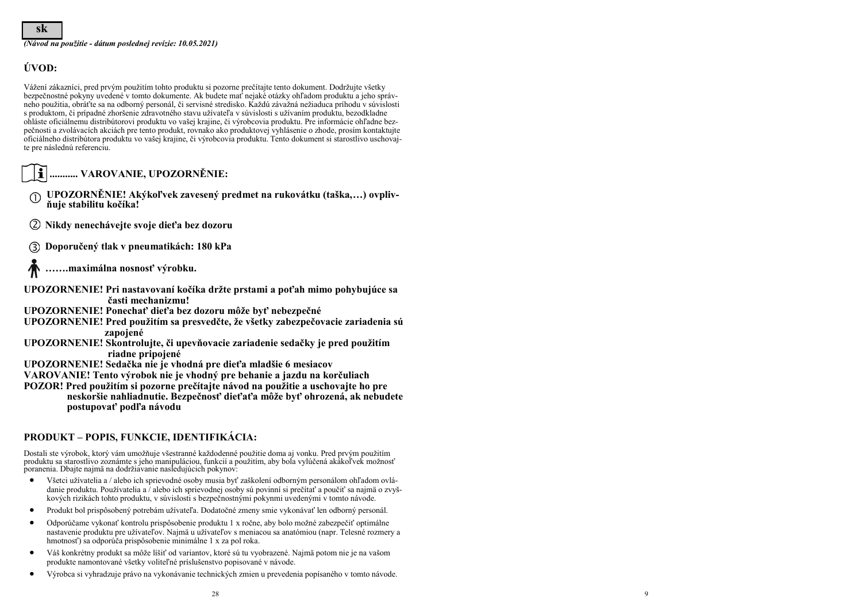**sk**

*(Návod na použitie - dátum poslednej revízie: 10.05.2021)*

## **ÚVOD:**

Vážení zákazníci, pred prvým použitím tohto produktu si pozorne prečítajte tento dokument. Dodržujte všetky bezpečnostné pokyny uvedené v tomto dokumente. Ak budete mať nejaké otázky ohľadom produktu a jeho správneho použitia, obráťte sa na odborný personál, či servisné stredisko. Každú závažná nežiaduca príhodu v súvislosti s produktom, či prípadné zhoršenie zdravotného stavu užívateľa v súvislosti s užívaním produktu, bezodkladne ohláste oficiálnemu distribútorovi produktu vo vašej krajine, či výrobcovia produktu. Pre informácie ohľadne bezpečnosti a zvolávacích akciách pre tento produkt, rovnako ako produktovej vyhlásenie o zhode, prosím kontaktujte oficiálneho distribútora produktu vo vašej krajine, či výrobcovia produktu. Tento dokument si starostlivo uschovajte pre následnú referenciu.

- **........... VAROVANIE, UPOZORNĚNIE:**
- **UPOZORNĚNIE! Akýkoľvek zavesený predmet na rukovátku (taška,…) ovplivňuje stabilitu kočíka!**
- **Nikdy nenechávejte svoje dieťa bez dozoru**
- **Doporučený tlak v pneumatikách: 180 kPa**
- **…….maximálna nosnosť výrobku.**
- **UPOZORNENIE! Pri nastavovaní kočíka držte prstami a poťah mimo pohybujúce sa časti mechanizmu!**
- **UPOZORNENIE! Ponechať dieťa bez dozoru môže byť nebezpečné**
- **UPOZORNENIE! Pred použitím sa presvedčte, že všetky zabezpečovacie zariadenia sú zapojené**
- **UPOZORNENIE! Skontrolujte, či upevňovacie zariadenie sedačky je pred použitím riadne pripojené**
- **UPOZORNENIE! Sedačka nie je vhodná pre dieťa mladšie 6 mesiacov**
- **VAROVANIE! Tento výrobok nie je vhodný pre behanie a jazdu na korčuliach**
- **POZOR! Pred použitím si pozorne prečítajte návod na použitie a uschovajte ho pre neskoršie nahliadnutie. Bezpečnosť dieťaťa môže byť ohrozená, ak nebudete postupovať podľa návodu**

## **PRODUKT – POPIS, FUNKCIE, IDENTIFIKÁCIA:**

Dostali ste výrobok, ktorý vám umožňuje všestranné každodenné použitie doma aj vonku. Pred prvým použitím produktu sa starostlivo zoznámte s jeho manipuláciou, funkcií a použitím, aby bola vylúčená akákoľvek možnosť poranenia. Dbajte najmä na dodržiavanie nasledujúcich pokynov:

- Všetci užívatelia a / alebo ich sprievodné osoby musia byť zaškolení odborným personálom ohľadom ovládanie produktu. Používatelia a / alebo ich sprievodnej osoby sú povinní si prečítať a poučiť sa najmä o zvyškových rizikách tohto produktu, v súvislosti s bezpečnostnými pokynmi uvedenými v tomto návode.
- Produkt bol prispôsobený potrebám užívateľa. Dodatočné zmeny smie vykonávať len odborný personál.
- Odporúčame vykonať kontrolu prispôsobenie produktu 1 x ročne, aby bolo možné zabezpečiť optimálne nastavenie produktu pre užívateľov. Najmä u užívateľov s meniacou sa anatómiou (napr. Telesné rozmery a hmotnosť) sa odporúča prispôsobenie minimálne 1 x za pol roka.
- Váš konkrétny produkt sa môže líšiť od variantov, ktoré sú tu vyobrazené. Najmä potom nie je na vašom produkte namontované všetky voliteľné príslušenstvo popisované v návode.
- Výrobca si vyhradzuje právo na vykonávanie technických zmien u prevedenia popísaného v tomto návode.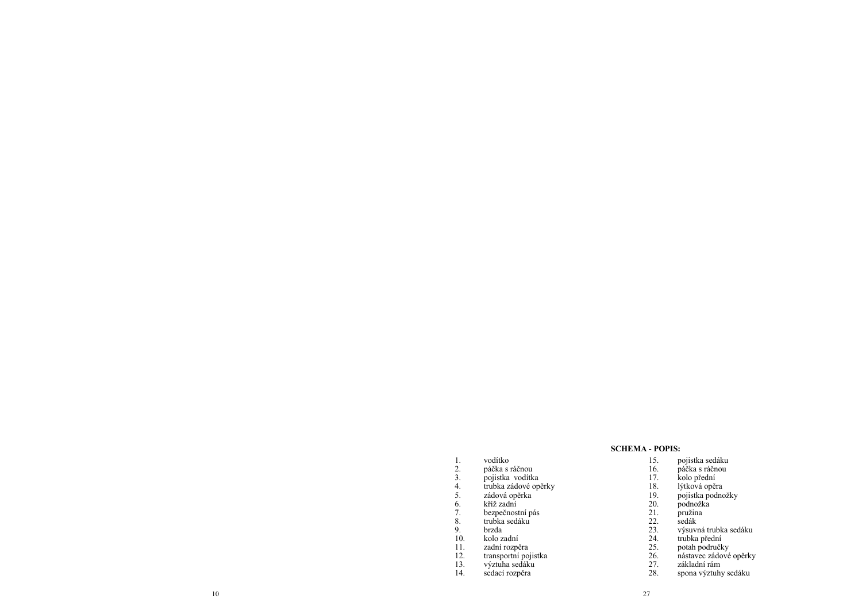#### **SCHEMA - POPIS:**

- 
- 2. páčka s ráčnou
- 3. pojistka vodítka
- 4. trubka zádové opěrky
- 1. vodítko<br>2. páčka s r<br>3. pojistka<br>4. trubka zá<br>5. zádová o 5. zádová opěrka
- 6. kříž zadní 3. zadov.<br>
6. kříž za<br>
7. bezpec<br>
8. trubka<br>
9. brzda<br>
10. kolo z 11. zadní
- 
- 7. bezpečnostní pás
- 8. trubka sedáku
- 
- 10. kolo zadní
- 11. zadní rozpěra
- 12. transportní pojistka
- 13. výztuha sedáku
- 14. sedací rozpěra
- 15. pojistka sedáku
- 16. páčka s ráčnou
- 17. kolo přední
- 18. lýtková opěra
- 19. pojistka podnožky
- 20. podnožka
- 21. pružina
- 22. sedák
- 23. výsuvná trubka sedáku
- 24. trubka přední
- 25. potah područky
- 26. nástavec zádové opěrky
- 27. základní rám
- 28. spona výztuhy sedáku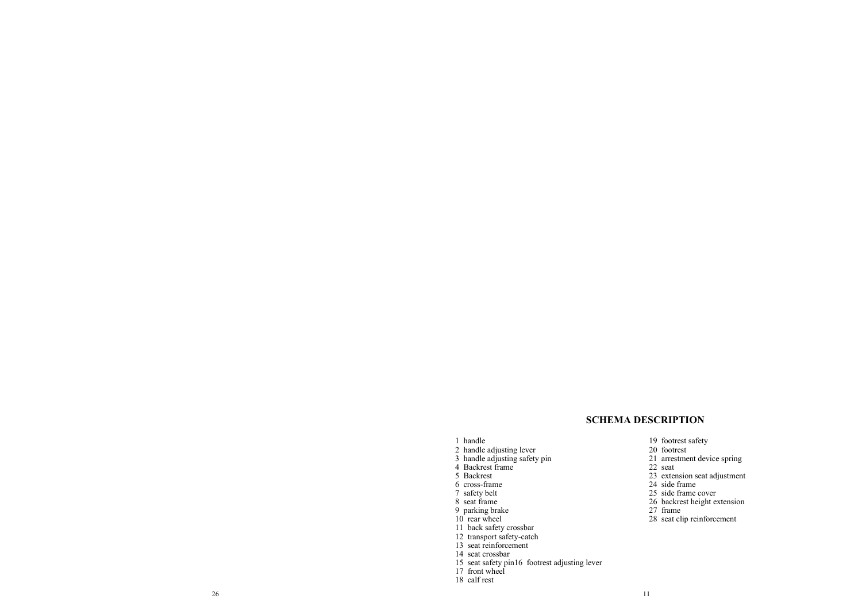## **SCHEMA DESCRIPTION**

19 footrest safety 20 footrest

22 seat

27 frame

24 side frame 25 side frame cover 26 backrest height extension

21 arrestment device spring

23 extension seat adjustment

28 seat clip reinforcement

#### 1 handle

- 2 handle adjusting lever
- 3 handle adjusting safety pin
- 4 Backrest frame
- 5 Backrest
- 
- 6 cross -frame
- 7 safety belt
- 8 seat frame
- 9 parking brake
- 10 rear wheel
- 
- 11 back safety crossbar
- 12 transport safety -catch
- 13 seat reinforcement
- 14 seat crossbar
- 15 seat safety pin16 footrest adjusting lever
- 17 front wheel
- 18 calf rest
- $26$  11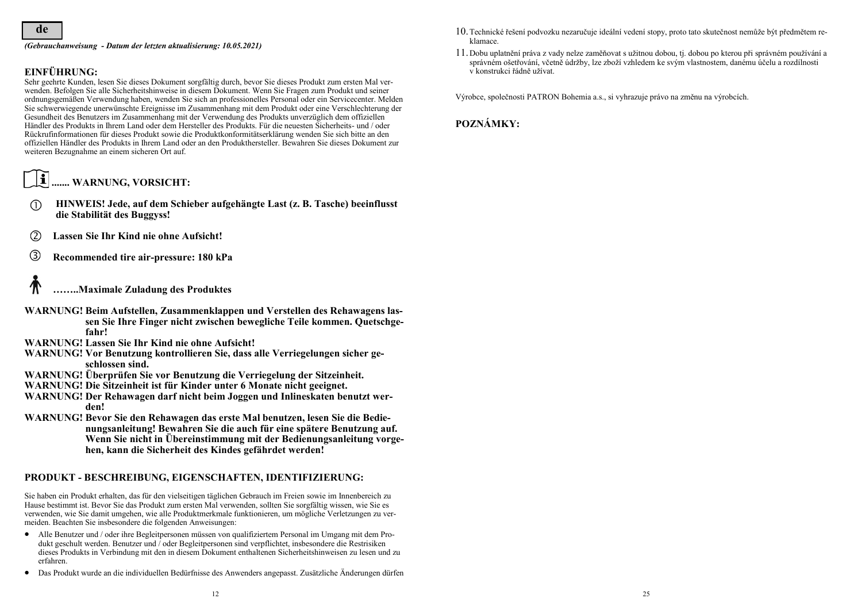#### *(Gebrauchanweisung - Datum der letzten aktualisierung: 10.05.2021)*

## **EINFÜHRUNG:**

Sehr geehrte Kunden, lesen Sie dieses Dokument sorgfältig durch, bevor Sie dieses Produkt zum ersten Mal verwenden. Befolgen Sie alle Sicherheitshinweise in diesem Dokument. Wenn Sie Fragen zum Produkt und seiner ordnungsgemäßen Verwendung haben, wenden Sie sich an professionelles Personal oder ein Servicecenter. Melden Sie schwerwiegende unerwünschte Ereignisse im Zusammenhang mit dem Produkt oder eine Verschlechterung der Gesundheit des Benutzers im Zusammenhang mit der Verwendung des Produkts unverzüglich dem offiziellen Händler des Produkts in Ihrem Land oder dem Hersteller des Produkts. Für die neuesten Sicherheits- und / oder Rückrufinformationen für dieses Produkt sowie die Produktkonformitätserklärung wenden Sie sich bitte an den offiziellen Händler des Produkts in Ihrem Land oder an den Produkthersteller. Bewahren Sie dieses Dokument zur weiteren Bezugnahme an einem sicheren Ort auf.

#### $\overline{\mathbf{r}}$ **....... WARNUNG, VORSICHT:**

- **HINWEIS! Jede, auf dem Schieber aufgehängte Last (z. B. Tasche) beeinflusst**   $\bigcap$ **die Stabilität des Buggyss!**
- **Lassen Sie Ihr Kind nie ohne Aufsicht!**
- **Recommended tire air-pressure: 180 kPa**
- **……..Maximale Zuladung des Produktes**
- **WARNUNG! Beim Aufstellen, Zusammenklappen und Verstellen des Rehawagens lassen Sie Ihre Finger nicht zwischen bewegliche Teile kommen. Quetschgefahr!**
- **WARNUNG! Lassen Sie Ihr Kind nie ohne Aufsicht!**
- **WARNUNG! Vor Benutzung kontrollieren Sie, dass alle Verriegelungen sicher geschlossen sind.**
- **WARNUNG! Überprüfen Sie vor Benutzung die Verriegelung der Sitzeinheit.**
- **WARNUNG! Die Sitzeinheit ist für Kinder unter 6 Monate nicht geeignet.**
- **WARNUNG! Der Rehawagen darf nicht beim Joggen und Inlineskaten benutzt werden!**
- **WARNUNG! Bevor Sie den Rehawagen das erste Mal benutzen, lesen Sie die Bedienungsanleitung! Bewahren Sie die auch für eine spätere Benutzung auf. Wenn Sie nicht in Übereinstimmung mit der Bedienungsanleitung vorgehen, kann die Sicherheit des Kindes gefährdet werden!**

#### **PRODUKT - BESCHREIBUNG, EIGENSCHAFTEN, IDENTIFIZIERUNG:**

Sie haben ein Produkt erhalten, das für den vielseitigen täglichen Gebrauch im Freien sowie im Innenbereich zu Hause bestimmt ist. Bevor Sie das Produkt zum ersten Mal verwenden, sollten Sie sorgfältig wissen, wie Sie es verwenden, wie Sie damit umgehen, wie alle Produktmerkmale funktionieren, um mögliche Verletzungen zu vermeiden. Beachten Sie insbesondere die folgenden Anweisungen:

- Alle Benutzer und / oder ihre Begleitpersonen müssen von qualifiziertem Personal im Umgang mit dem Produkt geschult werden. Benutzer und / oder Begleitpersonen sind verpflichtet, insbesondere die Restrisiken dieses Produkts in Verbindung mit den in diesem Dokument enthaltenen Sicherheitshinweisen zu lesen und zu erfahren.
- Das Produkt wurde an die individuellen Bedürfnisse des Anwenders angepasst. Zusätzliche Änderungen dürfen
- Technické řešení podvozku nezaručuje ideální vedení stopy, proto tato skutečnost nemůže být předmětem reklamace.
- Dobu uplatnění práva z vady nelze zaměňovat s užitnou dobou, tj. dobou po kterou při správném používání a správném ošetřování, včetně údržby, lze zboží vzhledem ke svým vlastnostem, danému účelu a rozdílnosti v konstrukci řádně užívat.

Výrobce, společnosti PATRON Bohemia a.s., si vyhrazuje právo na změnu na výrobcích.

**POZNÁMKY:**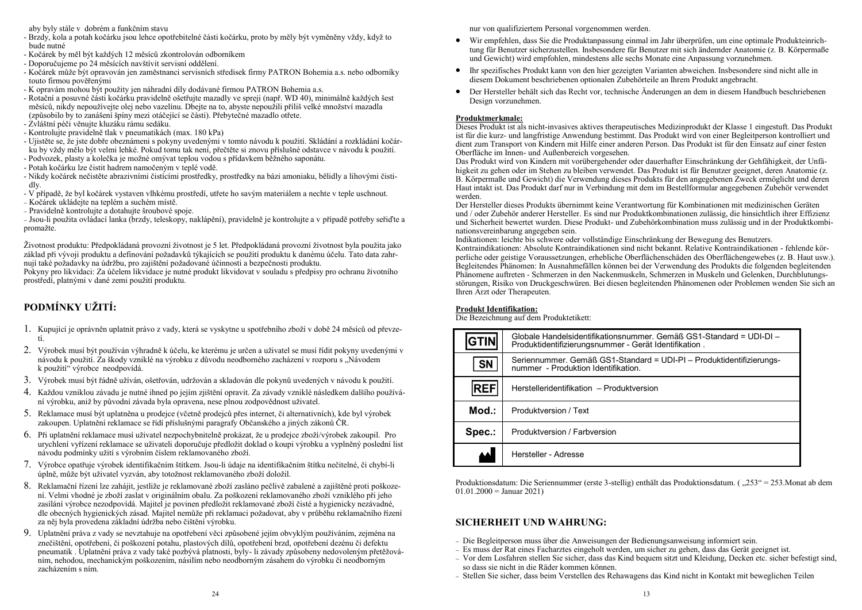aby byly stále v dobrém a funkčním stavu

- Brzdy, kola a potah kočárku jsou lehce opotřebitelné části kočárku, proto by měly být vyměněny vždy, když to bude nutné
- Kočárek by měl být každých 12 měsíců zkontrolován odborníkem
- Doporučujeme po 24 měsících navštívit servisní oddělení.
- Kočárek může být opravován jen zaměstnanci servisních středisek firmy PATRON Bohemia a.s. nebo odborníky touto firmou pověřenými
- K opravám mohou být použity jen náhradní díly dodávané firmou PATRON Bohemia a.s.
- Rotační a posuvné části kočárku pravidelně ošetřujte mazadly ve spreji (např. WD 40), minimálně každých šest měsíců, nikdy nepoužívejte olej nebo vazelínu. Dbejte na to, abyste nepoužili příliš velké množství mazadla (způsobilo by to zanášení špíny mezi otáčející se části). Přebytečné mazadlo otřete.
- Zvláštní péči věnujte kluzáku rámu sedáku.
- Kontrolujte pravidelně tlak v pneumatikách (max. 180 kPa)
- Ujistěte se, že jste dobře obeznámeni s pokyny uvedenými v tomto návodu k použití. Skládání a rozkládání kočárku by vždy mělo být velmi lehké. Pokud tomu tak není, přečtěte si znovu příslušné odstavce v návodu k použití.
- Podvozek, plasty a kolečka je možné omývat teplou vodou s přídavkem běžného saponátu.
- Potah kočárku lze čistit hadrem namočeným v teplé vodě.
- Nikdy kočárek nečistěte abrazivními čistícími prostředky, prostředky na bázi amoniaku, bělidly a lihovými čistidly.
- V případě, že byl kočárek vystaven vlhkému prostředí, utřete ho savým materiálem a nechte v teple uschnout.
- − Kočárek ukládejte na teplém a suchém místě.
- − Pravidelně kontrolujte a dotahujte šroubové spoje.

− Jsou-li použita ovládací lanka (brzdy, teleskopy, naklápění), pravidelně je kontrolujte a v případě potřeby seřiďte a promažte.

Životnost produktu: Předpokládaná provozní životnost je 5 let. Předpokládaná provozní životnost byla použita jako základ při vývoji produktu a definování požadavků týkajících se použití produktu k danému účelu. Tato data zahrnují také požadavky na údržbu, pro zajištění požadované účinnosti a bezpečnosti produktu.

Pokyny pro likvidaci: Za účelem likvidace je nutné produkt likvidovat v souladu s předpisy pro ochranu životního prostředí, platnými v dané zemi použití produktu.

## **PODMÍNKY UŽITÍ:**

- Kupující je oprávněn uplatnit právo z vady, která se vyskytne u spotřebního zboží v době 24 měsíců od převzetí.
- Výrobek musí být používán výhradně k účelu, ke kterému je určen a uživatel se musí řídit pokyny uvedenými v návodu k použití. Za škody vzniklé na výrobku z důvodu neodborného zacházení v rozporu s "Návodem k použití" výrobce neodpovídá.
- Výrobek musí být řádně užíván, ošetřován, udržován a skladován dle pokynů uvedených v návodu k použití.
- Každou vzniklou závadu je nutné ihned po jejím zjištění opravit. Za závady vzniklé následkem dalšího používání výrobku, aniž by původní závada byla opravena, nese plnou zodpovědnost uživatel.
- 5. Reklamace musí být uplatněna u prodejce (včetně prodejců přes internet, či alternativních), kde byl výrobek zakoupen. Uplatnění reklamace se řídí příslušnými paragrafy Občanského a jiných zákonů ČR.
- Při uplatnění reklamace musí uživatel nezpochybnitelně prokázat, že u prodejce zboží/výrobek zakoupil. Pro urychlení vyřízení reklamace se uživateli doporučuje předložit doklad o koupi výrobku a vyplněný poslední list návodu podmínky užití s výrobním číslem reklamovaného zboží.
- Výrobce opatřuje výrobek identifikačním štítkem. Jsou-li údaje na identifikačním štítku nečitelné, či chybí-li úplně, může být uživatel vyzván, aby totožnost reklamovaného zboží doložil.
- Reklamační řízení lze zahájit, jestliže je reklamované zboží zasláno pečlivě zabalené a zajištěné proti poškození. Velmi vhodné je zboží zaslat v originálním obalu. Za poškození reklamovaného zboží vzniklého při jeho zasílání výrobce nezodpovídá. Majitel je povinen předložit reklamované zboží čisté a hygienicky nezávadné, dle obecných hygienických zásad. Majitel nemůže při reklamaci požadovat, aby v průběhu reklamačního řízení za něj byla provedena základní údržba nebo čištění výrobku.
- Uplatnění práva z vady se nevztahuje na opotřebení věci způsobené jejím obvyklým používáním, zejména na znečištění, opotřebení, či poškození potahu, plastových dílů, opotřebení brzd, opotřebení dezénu či defektu pneumatik . Uplatnění práva z vady také pozbývá platnosti, byly- li závady způsobeny nedovoleným přetěžováním, nehodou, mechanickým poškozením, násilím nebo neodborným zásahem do výrobku či neodborným zacházením s ním.

nur von qualifiziertem Personal vorgenommen werden.

- Wir empfehlen, dass Sie die Produktanpassung einmal im Jahr überprüfen, um eine optimale Produkteinrichtung für Benutzer sicherzustellen. Insbesondere für Benutzer mit sich ändernder Anatomie (z. B. Körpermaße und Gewicht) wird empfohlen, mindestens alle sechs Monate eine Anpassung vorzunehmen.
- Ihr spezifisches Produkt kann von den hier gezeigten Varianten abweichen. Insbesondere sind nicht alle in diesem Dokument beschriebenen optionalen Zubehörteile an Ihrem Produkt angebracht.
- Der Hersteller behält sich das Recht vor, technische Änderungen an dem in diesem Handbuch beschriebenen Design vorzunehmen.

#### **Produktmerkmale:**

Dieses Produkt ist als nicht-invasives aktives therapeutisches Medizinprodukt der Klasse 1 eingestuft. Das Produkt ist für die kurz- und langfristige Anwendung bestimmt. Das Produkt wird von einer Begleitperson kontrolliert und dient zum Transport von Kindern mit Hilfe einer anderen Person. Das Produkt ist für den Einsatz auf einer festen Oberfläche im Innen- und Außenbereich vorgesehen.

Das Produkt wird von Kindern mit vorübergehender oder dauerhafter Einschränkung der Gehfähigkeit, der Unfähigkeit zu gehen oder im Stehen zu bleiben verwendet. Das Produkt ist für Benutzer geeignet, deren Anatomie (z. B. Körpermaße und Gewicht) die Verwendung dieses Produkts für den angegebenen Zweck ermöglicht und deren Haut intakt ist. Das Produkt darf nur in Verbindung mit dem im Bestellformular angegebenen Zubehör verwendet werden.

Der Hersteller dieses Produkts übernimmt keine Verantwortung für Kombinationen mit medizinischen Geräten und / oder Zubehör anderer Hersteller. Es sind nur Produktkombinationen zulässig, die hinsichtlich ihrer Effizienz und Sicherheit bewertet wurden. Diese Produkt- und Zubehörkombination muss zulässig und in der Produktkombinationsvereinbarung angegeben sein.

Indikationen: leichte bis schwere oder vollständige Einschränkung der Bewegung des Benutzers. Kontraindikationen: Absolute Kontraindikationen sind nicht bekannt. Relative Kontraindikationen - fehlende körperliche oder geistige Voraussetzungen, erhebliche Oberflächenschäden des Oberflächengewebes (z. B. Haut usw.). Begleitendes Phänomen: In Ausnahmefällen können bei der Verwendung des Produkts die folgenden begleitenden Phänomene auftreten - Schmerzen in den Nackenmuskeln, Schmerzen in Muskeln und Gelenken, Durchblutungsstörungen, Risiko von Druckgeschwüren. Bei diesen begleitenden Phänomenen oder Problemen wenden Sie sich an Ihren Arzt oder Therapeuten.

#### **Produkt Identifikation:**

Die Bezeichnung auf dem Produktetikett:

| <b>GTIN</b> | Globale Handelsidentifikationsnummer. Gemäß GS1-Standard = UDI-DI –<br>Produktidentifizierungsnummer - Gerät Identifikation. |
|-------------|------------------------------------------------------------------------------------------------------------------------------|
| <b>SN</b>   | Seriennummer. Gemäß GS1-Standard = UDI-PI - Produktidentifizierungs-<br>nummer - Produktion Identifikation.                  |
| <b>REF</b>  | Herstelleridentifikation - Produktversion                                                                                    |
| Mod.:       | Produktversion / Text                                                                                                        |
| Spec.:      | Produktversion / Farbversion                                                                                                 |
|             | Hersteller - Adresse                                                                                                         |

Produktionsdatum: Die Seriennummer (erste 3-stellig) enthält das Produktionsdatum. ("253" = 253. Monat ab dem  $01.01.2000 =$  Januar 2021)

## **SICHERHEIT UND WAHRUNG:**

- − Die Begleitperson muss über die Anweisungen der Bedienungsanweisung informiert sein.
- − Es muss der Rat eines Facharztes eingeholt werden, um sicher zu gehen, dass das Gerät geeignet ist.
- − Vor dem Losfahren stellen Sie sicher, dass das Kind bequem sitzt und Kleidung, Decken etc. sicher befestigt sind, so dass sie nicht in die Räder kommen können.
- − Stellen Sie sicher, dass beim Verstellen des Rehawagens das Kind nicht in Kontakt mit beweglichen Teilen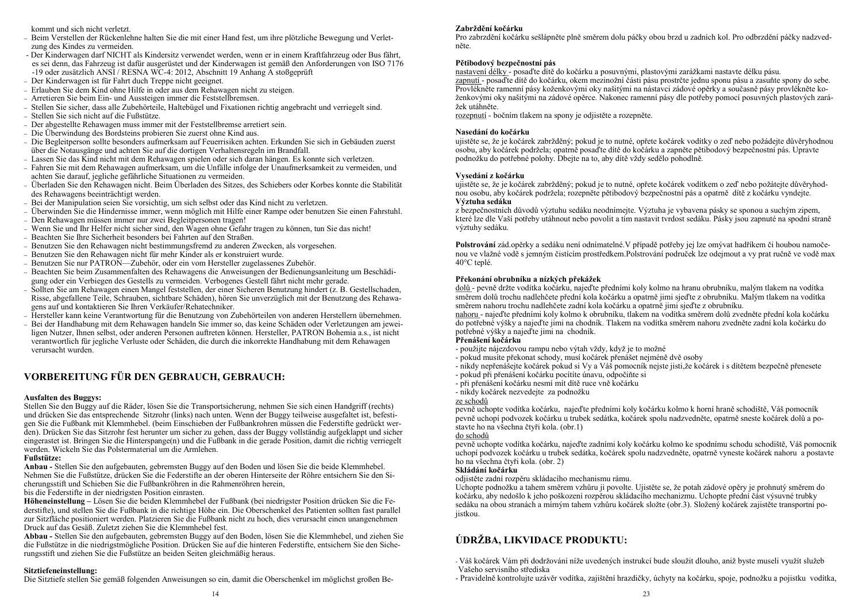kommt und sich nicht verletzt.

- − Beim Verstellen der Rückenlehne halten Sie die mit einer Hand fest, um ihre plötzliche Bewegung und Verletzung des Kindes zu vermeiden.
- Der Kinderwagen darf NICHT als Kindersitz verwendet werden, wenn er in einem Kraftfahrzeug oder Bus fährt, es sei denn, das Fahrzeug ist dafür ausgerüstet und der Kinderwagen ist gemäß den Anforderungen von ISO 7176 -19 oder zusätzlich ANSI / RESNA WC-4: 2012, Abschnitt 19 Anhang A stoßgeprüft
- − Der Kinderwagen ist für Fahrt duch Treppe nicht geeignet.
- − Erlauben Sie dem Kind ohne Hilfe in oder aus dem Rehawagen nicht zu steigen.
- − Arretieren Sie beim Ein- und Aussteigen immer die Feststellbremsen.
- − Stellen Sie sicher, dass alle Zubehörteile, Haltebügel und Fixationen richtig angebracht und verriegelt sind.
- − Stellen Sie sich nicht auf die Fußstütze.
- − Der abgestellte Rehawagen muss immer mit der Feststellbremse arretiert sein.
- − Die Überwindung des Bordsteins probieren Sie zuerst ohne Kind aus.
- − Die Begleitperson sollte besonders aufmerksam auf Feuerrisiken achten. Erkunden Sie sich in Gebäuden zuerst über die Notausgänge und achten Sie auf die dortigen Verhaltensregeln im Brandfall.
- − Lassen Sie das Kind nicht mit dem Rehawagen spielen oder sich daran hängen. Es konnte sich verletzen.
- − Fahren Sie mit dem Rehawagen aufmerksam, um die Unfälle infolge der Unaufmerksamkeit zu vermeiden, und achten Sie darauf, jegliche gefährliche Situationen zu vermeiden.
- − Überladen Sie den Rehawagen nicht. Beim Überladen des Sitzes, des Schiebers oder Korbes konnte die Stabilität des Rehawagens beeinträchtigt werden.
- − Bei der Manipulation seien Sie vorsichtig, um sich selbst oder das Kind nicht zu verletzen.
- − Überwinden Sie die Hindernisse immer, wenn möglich mit Hilfe einer Rampe oder benutzen Sie einen Fahrstuhl.
- − Den Rehawagen müssen immer nur zwei Begleitpersonen tragen!
- − Wenn Sie und Ihr Helfer nicht sicher sind, den Wagen ohne Gefahr tragen zu können, tun Sie das nicht!
- − Beachten Sie Ihre Sicherheit besonders bei Fahrten auf den Straßen.
- − Benutzen Sie den Rehawagen nicht bestimmungsfremd zu anderen Zwecken, als vorgesehen.
- − Benutzen Sie den Rehawagen nicht für mehr Kinder als er konstruiert wurde.
- − Benutzen Sie nur PATRON—Zubehör, oder ein vom Hersteller zugelassenes Zubehör.
- − Beachten Sie beim Zusammenfalten des Rehawagens die Anweisungen der Bedienungsanleitung um Beschädigung oder ein Verbiegen des Gestells zu vermeiden. Verbogenes Gestell fährt nicht mehr gerade.
- − Sollten Sie am Rehawagen einen Mangel feststellen, der einer Sicheren Benutzung hindert (z. B. Gestellschaden, Risse, abgefallene Teile, Schrauben, sichtbare Schäden), hören Sie unverzüglich mit der Benutzung des Rehawagens auf und kontaktieren Sie Ihren Verkäufer/Rehatechniker.
- − Hersteller kann keine Verantwortung für die Benutzung von Zubehörteilen von anderen Herstellern übernehmen.
- − Bei der Handhabung mit dem Rehawagen handeln Sie immer so, das keine Schäden oder Verletzungen am jeweiligen Nutzer, Ihnen selbst, oder anderen Personen auftreten können. Hersteller, PATRON Bohemia a.s., ist nicht verantwortlich für jegliche Verluste oder Schäden, die durch die inkorrekte Handhabung mit dem Rehawagen verursacht wurden.

## **VORBEREITUNG FÜR DEN GEBRAUCH, GEBRAUCH:**

#### **Ausfalten des Buggys:**

Stellen Sie den Buggy auf die Räder, lösen Sie die Transportsicherung, nehmen Sie sich einen Handgriff (rechts) und drücken Sie das entsprechende Sitzrohr (links) nach unten. Wenn der Buggy teilweise ausgefaltet ist, befestigen Sie die Fußbank mit Klemmhebel. (beim Einschieben der Fußbankrohren müssen die Federstifte gedrückt werden). Drücken Sie das Sitzrohr fest herunter um sicher zu gehen, dass der Buggy vollständig aufgeklappt und sicher eingerastet ist. Bringen Sie die Hinterspange(n) und die Fußbank in die gerade Position, damit die richtig verriegelt werden. Wickeln Sie das Polstermaterial um die Armlehen.

#### **Fußstütze:**

**Anbau -** Stellen Sie den aufgebauten, gebremsten Buggy auf den Boden und lösen Sie die beide Klemmhebel. Nehmen Sie die Fußstütze, drücken Sie die Federstifte an der oberen Hinterseite der Röhre entsichern Sie den Sicherungsstift und Schieben Sie die Fußbankröhren in die Rahmenröhren herein,

bis die Federstifte in der niedrigsten Position einrasten.

**Höheneinstellung –** Lösen Sie die beiden Klemmhebel der Fußbank (bei niedrigster Position drücken Sie die Federstifte), und stellen Sie die Fußbank in die richtige Höhe ein. Die Oberschenkel des Patienten sollten fast parallel zur Sitzfläche positioniert werden. Platzieren Sie die Fußbank nicht zu hoch, dies verursacht einen unangenehmen Druck auf das Gesäß. Zuletzt ziehen Sie die Klemmhebel fest.

**Abbau -** Stellen Sie den aufgebauten, gebremsten Buggy auf den Boden, lösen Sie die Klemmhebel, und ziehen Sie die Fußstütze in die niedrigstmögliche Position. Drücken Sie auf die hinteren Federstifte, entsichern Sie den Sicherungsstift und ziehen Sie die Fußstütze an beiden Seiten gleichmäßig heraus.

#### **Sitztiefeneinstellung:**

Die Sitztiefe stellen Sie gemäß folgenden Anweisungen so ein, damit die Oberschenkel im möglichst großen Be-

Pro zabrzdění kočárku sešlápněte plně směrem dolu páčky obou brzd u zadních kol. Pro odbrzdění páčky nadzvedněte.

#### **Pětibodový bezpečnostní pás**

nastavení délky - posaďte dítě do kočárku a posuvnými, plastovými zarážkami nastavte délku pásu. zapnutí - posaďte dítě do kočárku, okem mezinožní části pásu prostrčte jednu sponu pásu a zasuňte spony do sebe. Provlékněte ramenní pásy koženkovými oky našitými na nástavci zádové opěrky a současně pásy provlékněte koženkovými oky našitými na zádové opěrce. Nakonec ramenní pásy dle potřeby pomocí posuvných plastových zarážek utáhněte.

rozepnutí - bočním tlakem na spony je odjistěte a rozepněte.

#### **Nasedání do kočárku**

ujistěte se, že je kočárek zabržděný; pokud je to nutné, opřete kočárek vodítky o zeď nebo požádejte důvěryhodnou osobu, aby kočárek podržela; opatrně posaďte dítě do kočárku a zapněte pětibodový bezpečnostní pás. Upravte podnožku do potřebné polohy. Dbejte na to, aby dítě vždy sedělo pohodlně.

#### **Vysedání z kočárku**

ujistěte se, že je kočárek zabržděný; pokud je to nutné, opřete kočárek vodítkem o zeď nebo požátejte důvěryhodnou osobu, aby kočárek podržela; rozepněte pětibodový bezpečnostní pás a opatrně dítě z kočárku vyndejte. **Výztuha sedáku**

z bezpečnostních důvodů výztuhu sedáku neodnímejte. Výztuha je vybavena pásky se sponou a suchým zipem, které lze dle Vaší potřeby utáhnout nebo povolit a tím nastavit tvrdost sedáku. Pásky jsou zapnuté na spodní straně výztuhy sedáku.

**Polstrování** zád.opěrky a sedáku není odnímatelné.V případě potřeby jej lze omývat hadříkem či houbou namočenou ve vlažné vodě s jemným čistícím prostředkem.Polstrování područek lze odejmout a vy prat ručně ve vodě max 40°C teplé.

#### **Překonání obrubníku a nízkých překážek**

dolů - pevně držte vodítka kočárku, najeďte předními koly kolmo na hranu obrubníku, malým tlakem na vodítka směrem dolů trochu nadlehčete přední kola kočárku a opatrně jimi sjeďte z obrubníku. Malým tlakem na vodítka směrem nahoru trochu nadlehčete zadní kola kočárku a opatrně jimi sjeďte z obrubníku.

nahoru - najeďte předními koly kolmo k obrubníku, tlakem na vodítka směrem dolů zvedněte přední kola kočárku do potřebné výšky a najeďte jimi na chodník. Tlakem na vodítka směrem nahoru zvedněte zadní kola kočárku do potřebné výšky a najeďte jimi na chodník.

#### **Přenášení kočárku**

- použijte nájezdovou rampu nebo výtah vždy, když je to možné
- pokud musíte překonat schody, musí kočárek přenášet nejméně dvě osoby
- nikdy nepřenášejte kočárek pokud si Vy a Váš pomocník nejste jisti,že kočárek i s dítětem bezpečně přenesete
- pokud při přenášení kočárku pocítíte únavu, odpočiňte si
- při přenášení kočárku nesmí mít dítě ruce vně kočárku
- nikdy kočárek nezvedejte za podnožku

#### ze schodů

pevně uchopte vodítka kočárku, najeďte předními koly kočárku kolmo k horní hraně schodiště, Váš pomocník pevně uchopí podvozek kočárku u trubek sedátka, kočárek spolu nadzvedněte, opatrně sneste kočárek dolů a postavte ho na všechna čtyři kola. (obr.1)

#### do schodů

pevně uchopte vodítka kočárku, najeďte zadními koly kočárku kolmo ke spodnímu schodu schodiště, Váš pomocník uchopí podvozek kočárku u trubek sedátka, kočárek spolu nadzvedněte, opatrně vyneste kočárek nahoru a postavte ho na všechna čtyři kola. (obr. 2)

#### **Skládání kočárku**

odjistěte zadní rozpěru skládacího mechanismu rámu.

Uchopte podnožku a tahem směrem vzhůru ji povolte. Ujistěte se, že potah zádové opěry je prohnutý směrem do kočárku, aby nedošlo k jeho poškození rozpěrou skládacího mechanizmu. Uchopte přední část výsuvné trubky sedáku na obou stranách a mírným tahem vzhůru kočárek složte (obr.3). Složený kočárek zajistěte transportní pojistkou.

## **ÚDRŽBA, LIKVIDACE PRODUKTU:**

- Váš kočárek Vám při dodržování níže uvedených instrukcí bude sloužit dlouho, aniž byste museli využít služeb Vašeho servisního střediska

- Pravidelně kontrolujte uzávěr vodítka, zajištění hrazdičky, úchyty na kočárku, spoje, podnožku a pojistku vodítka,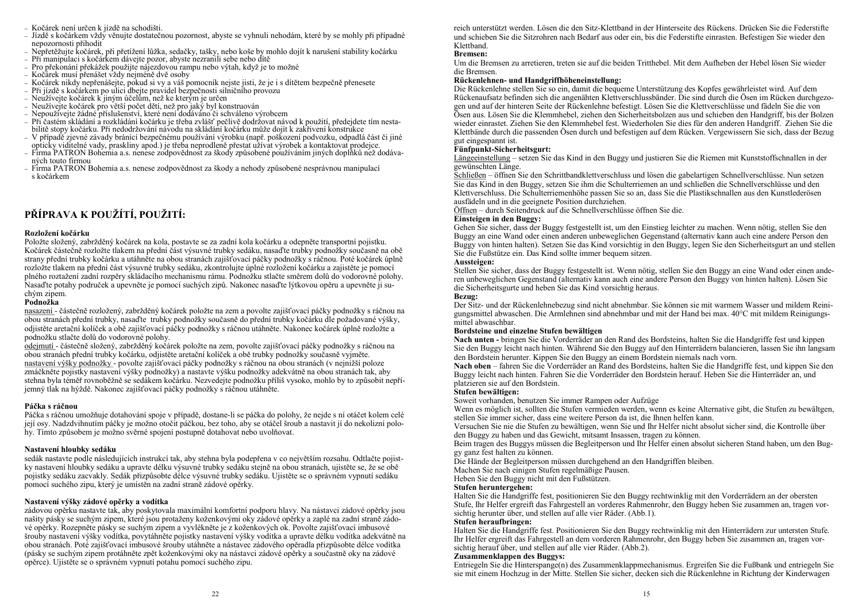- − Kočárek není určen k jízdě na schodišti.
- − Jízdě s kočárkem vždy věnujte dostatečnou pozornost, abyste se vyhnuli nehodám, které by se mohly při případné nepozornosti přihodit
- − Nepřetěžujte kočárek, při přetížení lůžka, sedačky, tašky, nebo koše by mohlo dojít k narušení stability kočárku
- − Při manipulaci s kočárkem dávejte pozor, abyste nezranili sebe nebo dítě
- − Pro překonání překážek použijte nájezdovou rampu nebo výtah, když je to možné
- − Kočárek musí přenášet vždy nejméně dvě osoby
- − Kočárek nikdy nepřenášejte, pokud si vy a váš pomocník nejste jisti, že je i s dítětem bezpečně přenesete
- − Při jízdě s kočárkem po ulici dbejte pravidel bezpečnosti silničního provozu
- − Neužívejte kočárek k jiným účelům, než ke kterým je určen
- − Neužívejte kočárek pro větší počet dětí, než pro jaký byl konstruován
- − Nepoužívejte žádné příslušenství, které není dodáváno či schváleno výrobcem
- − Při častém skládání a rozkládání kočárku je třeba zvlášť pečlivě dodržovat návod k použití, předejdete tím nestabilitě stopy kočárku. Při nedodržování návodu na skládání kočárku může dojít k zakřivení konstrukce
- − V případě zjevné závady bránící bezpečnému používání výrobku (např. poškození podvozku, odpadlá část či jiné opticky viditelné vady, praskliny apod.) je třeba neprodleně přestat užívat výrobek a kontaktovat prodejce.
- − Firma PATRON Bohemia a.s. nenese zodpovědnost za škody způsobené používáním jiných doplňků než dodávaných touto firmou
- − Firma PATRON Bohemia a.s. nenese zodpovědnost za škody a nehody způsobené nesprávnou manipulací s kočárkem

## **PŘÍPRAVA K POUŽÍTÍ, POUŽITÍ:**

#### **Rozložení kočárku**

Položte složený, zabržděný kočárek na kola, postavte se za zadní kola kočárku a odepněte transportní pojistku. Kočárek částečně rozložte tlakem na přední část výsuvné trubky sedáku, nasaďte trubky podnožky současně na obě strany přední trubky kočárku a utáhněte na obou stranách zajišťovací páčky podnožky s ráčnou. Poté kočárek úplně rozložte tlakem na přední část výsuvné trubky sedáku, zkontrolujte úplné rozložení kočárku a zajistěte je pomocí plného roztažení zadní rozpěry skládacího mechanismu rámu. Podnožku stlačte směrem dolů do vodorovné polohy. Nasaďte potahy područek a upevněte je pomocí suchých zipů. Nakonec nasaďte lýtkovou opěru a upevněte ji suchým zipem.

#### **Podnožka**

nasazení - částečně rozložený, zabržděný kočárek položte na zem a povolte zajišťovací páčky podnožky s ráčnou na obou stranách přední trubky, nasaďte trubky podnožky současně do přední trubky kočárku dle požadované výšky, odjistěte aretační kolíček a obě zajišťovací páčky podnožky s ráčnou utáhněte. Nakonec kočárek úplně rozložte a podnožku stlačte dolů do vodorovné polohy.

odejmutí - částečně složený, zabržděný kočárek položte na zem, povolte zajišťovací páčky podnožky s ráčnou na obou stranách přední trubky kočárku, odjistěte aretační kolíček a obě trubky podnožky současně vyjměte. nastavení výšky podnožky - povolte zajišťovací páčky podnožky s ráčnou na obou stranách (v nejnižší poloze zmáčkněte pojistky nastavení výšky podnožky) a nastavte výšku podnožky adekvátně na obou stranách tak, aby stehna byla téměř rovnoběžně se sedákem kočárku. Nezvedejte podnožku příliš vysoko, mohlo by to způsobit nepříjemný tlak na hýždě. Nakonec zajišťovací páčky podnožky s ráčnou utáhněte.

#### **Páčka s ráčnou**

Páčka s ráčnou umožňuje dotahování spoje v případě, dostane-li se páčka do polohy, že nejde s ní otáčet kolem celé její osy. Nadzdvihnutím páčky je možno otočit páčkou, bez toho, aby se otáčel šroub a nastavit jí do nekolizní polohy. Tímto způsobem je možno svěrné spojení postupně dotahovat nebo uvolňovat.

#### **Nastavení hloubky sedáku**

sedák nastavte podle následujících instrukcí tak, aby stehna byla podepřena v co největším rozsahu. Odtlačte pojistky nastavení hloubky sedáku a upravte délku výsuvné trubky sedáku stejně na obou stranách, ujistěte se, že se obě pojistky sedáku zacvakly. Sedák přizpůsobte délce výsuvné trubky sedáku. Ujistěte se o správném vypnutí sedáku pomocí suchého zipu, který je umístěn na zadní straně zádové opěrky.

#### **Nastavení výšky zádové opěrky a vodítka**

zádovou opěrku nastavte tak, aby poskytovala maximální komfortní podporu hlavy. Na nástavci zádové opěrky jsou našity pásky se suchým zipem, které jsou protaženy koženkovými oky zádové opěrky a zaplé na zadní straně zádové opěrky. Rozepněte pásky se suchým zipem a vyvlékněte je z koženkových ok. Povolte zajišťovací imbusové šrouby nastavení výšky vodítka, povytáhněte pojistky nastavení výšky vodítka a upravte délku vodítka adekvátně na obou stranách. Poté zajišťovací imbusové šrouby utáhněte a nástavec zádového opěradla přizpůsobte délce vodítka (pásky se suchým zipem protáhněte zpět koženkovými oky na nástavci zádové opěrky a součastně oky na zádové opěrce). Ujistěte se o správném vypnutí potahu pomocí suchého zipu.

reich unterstützt werden. Lösen die den Sitz-Klettband in der Hinterseite des Rückens. Drücken Sie die Federstifte und schieben Sie die Sitzrohren nach Bedarf aus oder ein, bis die Federstifte einrasten. Befestigen Sie wieder den Klettband.

#### **Bremsen:**

Um die Bremsen zu arretieren, treten sie auf die beiden Tritthebel. Mit dem Aufheben der Hebel lösen Sie wieder die Bremsen.

#### **Rückenlehnen- und Handgriffhöheneinstellung:**

Die Rückenlehne stellen Sie so ein, damit die bequeme Unterstützung des Kopfes gewährleistet wird. Auf dem Rückenaufsatz befinden sich die angenähten Klettverschlussbänder. Die sind durch die Ösen im Rücken durchgezogen und auf der hinteren Seite der Rückenlehne befestigt. Lösen Sie die Klettverschlüsse und fädeln Sie die von Ösen aus. Lösen Sie die Klemmhebel, ziehen den Sicherheitsbolzen aus und schieben den Handgriff, bis der Bolzen wieder einrastet. Ziehen Sie den Klemmhebel fest. Wiederholen Sie dies für den anderen Handgriff. Ziehen Sie die Klettbände durch die passenden Ösen durch und befestigen auf dem Rücken. Vergewissern Sie sich, dass der Bezug gut eingespannt ist.

#### **Fünfpunkt-Sicherheitsgurt:**

Längeeinstellung – setzen Sie das Kind in den Buggy und justieren Sie die Riemen mit Kunststoffschnallen in der gewünschten Länge.

Schließen – öffnen Sie den Schrittbandklettverschluss und lösen die gabelartigen Schnellverschlüsse. Nun setzen Sie das Kind in den Buggy, setzen Sie ihm die Schulterriemen an und schließen die Schnellverschlüsse und den Klettverschluss. Die Schulterriemenhöhe passen Sie so an, dass Sie die Plastikschnallen aus den Kunstlederösen ausfädeln und in die geeignete Position durchziehen.

Öffnen – durch Seitendruck auf die Schnellverschlüsse öffnen Sie die.

#### **Einsteigen in den Buggy:**

Gehen Sie sicher, dass der Buggy festgestellt ist, um den Einstieg leichter zu machen. Wenn nötig, stellen Sie den Buggy an eine Wand oder einen anderen unbeweglichen Gegenstand (alternativ kann auch eine andere Person den Buggy von hinten halten). Setzen Sie das Kind vorsichtig in den Buggy, legen Sie den Sicherheitsgurt an und stellen Sie die Fußstütze ein. Das Kind sollte immer bequem sitzen.

#### **Aussteigen:**

Stellen Sie sicher, dass der Buggy festgestellt ist. Wenn nötig, stellen Sie den Buggy an eine Wand oder einen anderen unbeweglichen Gegenstand (alternativ kann auch eine andere Person den Buggy von hinten halten). Lösen Sie die Sicherheitsgurte und heben Sie das Kind vorsichtig heraus.

#### **Bezug:**

Der Sitz- und der Rückenlehnebezug sind nicht abnehmbar. Sie können sie mit warmem Wasser und mildem Reinigungsmittel abwaschen. Die Armlehnen sind abnehmbar und mit der Hand bei max. 40°C mit mildem Reinigungsmittel abwaschbar.

#### **Bordsteine und einzelne Stufen bewältigen**

**Nach unten -** bringen Sie die Vorderräder an den Rand des Bordsteins, halten Sie die Handgriffe fest und kippen Sie den Buggy leicht nach hinten. Während Sie den Buggy auf den Hinterrädern balancieren, lassen Sie ihn langsam den Bordstein herunter. Kippen Sie den Buggy an einem Bordstein niemals nach vorn.

**Nach oben** – fahren Sie die Vorderräder an Rand des Bordsteins, halten Sie die Handgriffe fest, und kippen Sie den Buggy leicht nach hinten. Fahren Sie die Vorderräder den Bordstein herauf. Heben Sie die Hinterräder an, und platzieren sie auf den Bordstein.

#### **Stufen bewältigen:**

Soweit vorhanden, benutzen Sie immer Rampen oder Aufzüge

Wenn es möglich ist, sollten die Stufen vermieden werden, wenn es keine Alternative gibt, die Stufen zu bewältgen, stellen Sie immer sicher, dass eine weitere Person da ist, die Ihnen helfen kann.

Versuchen Sie nie die Stufen zu bewältigen, wenn Sie und Ihr Helfer nicht absolut sicher sind, die Kontrolle über den Buggy zu haben und das Gewicht, mitsamt Insassen, tragen zu können.

Beim tragen des Buggys müssen die Begleitperson und Ihr Helfer einen absolut sicheren Stand haben, um den Buggy ganz fest halten zu können.

Die Hände der Begleitperson müssen durchgehend an den Handgriffen bleiben.

Machen Sie nach einigen Stufen regelmäßige Pausen.

Heben Sie den Buggy nicht mit den Fußstützen.

#### **Stufen heruntergehen:**

Halten Sie die Handgriffe fest, positionieren Sie den Buggy rechtwinklig mit den Vorderrädern an der obersten Stufe, Ihr Helfer ergreift das Fahrgestell an vorderes Rahmenrohr, den Buggy heben Sie zusammen an, tragen vorsichtig herunter über, und stellen auf alle vier Räder. (Abb.1).

#### **Stufen heraufbringen:**

Halten Sie die Handgriffe fest. Positionieren Sie den Buggy rechtwinklig mit den Hinterrädern zur untersten Stufe. Ihr Helfer ergreift das Fahrgestell an dem vorderen Rahmenrohr, den Buggy heben Sie zusammen an, tragen vorsichtig herauf über, und stellen auf alle vier Räder. (Abb.2).

#### **Zusammenklappen des Buggys:**

Entriegeln Sie die Hinterspange(n) des Zusammenklappmechanismus. Ergreifen Sie die Fußbank und entriegeln Sie sie mit einem Hochzug in der Mitte. Stellen Sie sicher, decken sich die Rückenlehne in Richtung der Kinderwagen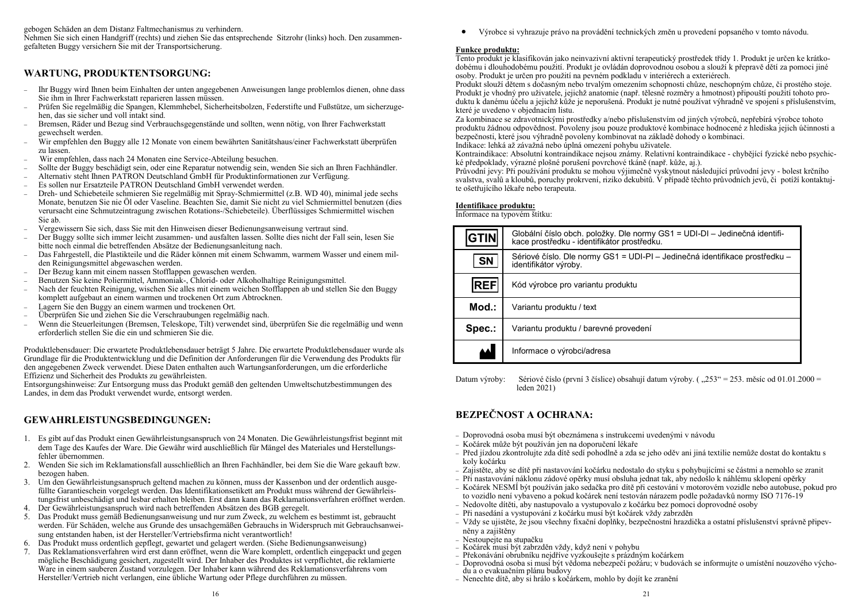gebogen Schäden an dem Distanz Faltmechanismus zu verhindern.

Nehmen Sie sich einen Handgriff (rechts) und ziehen Sie das entsprechende Sitzrohr (links) hoch. Den zusammengefalteten Buggy versichern Sie mit der Transportsicherung.

## **WARTUNG, PRODUKTENTSORGUNG:**

- − Ihr Buggy wird Ihnen beim Einhalten der unten angegebenen Anweisungen lange problemlos dienen, ohne dass Sie ihm in Ihrer Fachwerkstatt reparieren lassen müssen.
- − Prüfen Sie regelmäßig die Spangen, Klemmhebel, Sicherheitsbolzen, Federstifte und Fußstütze, um sicherzugehen, das sie sicher und voll intakt sind.
- − Bremsen, Räder und Bezug sind Verbrauchsgegenstände und sollten, wenn nötig, von Ihrer Fachwerkstatt gewechselt werden.
- − Wir empfehlen den Buggy alle 12 Monate von einem bewährten Sanitätshaus/einer Fachwerkstatt überprüfen zu lassen.
- − Wir empfehlen, dass nach 24 Monaten eine Service-Abteilung besuchen.
- − Sollte der Buggy beschädigt sein, oder eine Reparatur notwendig sein, wenden Sie sich an Ihren Fachhändler.
- − Alternativ steht Ihnen PATRON Deutschland GmbH für Produktinformationen zur Verfügung.
- − Es sollen nur Ersatzteile PATRON Deutschland GmbH verwendet werden.
- − Dreh- und Schiebeteile schmieren Sie regelmäßig mit Spray-Schmiermittel (z.B. WD 40), minimal jede sechs Monate, benutzen Sie nie Öl oder Vaseline. Beachten Sie, damit Sie nicht zu viel Schmiermittel benutzen (dies verursacht eine Schmutzeintragung zwischen Rotations-/Schiebeteile). Überflüssiges Schmiermittel wischen Sie ab.
- − Vergewissern Sie sich, dass Sie mit den Hinweisen dieser Bedienungsanweisung vertraut sind.
- − Der Buggy sollte sich immer leicht zusammen- und ausfalten lassen. Sollte dies nicht der Fall sein, lesen Sie bitte noch einmal die betreffenden Absätze der Bedienungsanleitung nach.
- − Das Fahrgestell, die Plastikteile und die Räder können mit einem Schwamm, warmem Wasser und einem milden Reinigungsmittel abgewaschen werden.
- − Der Bezug kann mit einem nassen Stofflappen gewaschen werden.
- − Benutzen Sie keine Poliermittel, Ammoniak-, Chlorid- oder Alkoholhaltige Reinigungsmittel.
- − Nach der feuchten Reinigung, wischen Sie alles mit einem weichen Stofflappen ab und stellen Sie den Buggy komplett aufgebaut an einem warmen und trockenen Ort zum Abtrocknen.
- Lagern Sie den Buggy an einem warmen und trockenen Ort.
- − Überprüfen Sie und ziehen Sie die Verschraubungen regelmäßig nach.
- − Wenn die Steuerleitungen (Bremsen, Teleskope, Tilt) verwendet sind, überprüfen Sie die regelmäßig und wenn erforderlich stellen Sie die ein und schmieren Sie die.

Produktlebensdauer: Die erwartete Produktlebensdauer beträgt 5 Jahre. Die erwartete Produktlebensdauer wurde als Grundlage für die Produktentwicklung und die Definition der Anforderungen für die Verwendung des Produkts für den angegebenen Zweck verwendet. Diese Daten enthalten auch Wartungsanforderungen, um die erforderliche Effizienz und Sicherheit des Produkts zu gewährleisten.

Entsorgungshinweise: Zur Entsorgung muss das Produkt gemäß den geltenden Umweltschutzbestimmungen des Landes, in dem das Produkt verwendet wurde, entsorgt werden.

## **GEWAHRLEISTUNGSBEDINGUNGEN:**

- 1. Es gibt auf das Produkt einen Gewährleistungsanspruch von 24 Monaten. Die Gewährleistungsfrist beginnt mit dem Tage des Kaufes der Ware. Die Gewähr wird auschließlich für Mängel des Materiales und Herstellungsfehler übernommen.
- 2. Wenden Sie sich im Reklamationsfall ausschließlich an Ihren Fachhändler, bei dem Sie die Ware gekauft bzw. bezogen haben.
- 3. Um den Gewährleistungsanspruch geltend machen zu können, muss der Kassenbon und der ordentlich ausgefüllte Garantieschein vorgelegt werden. Das Identifikationsetikett am Produkt muss während der Gewährleistungsfrist unbeschädigt und lesbar erhalten bleiben. Erst dann kann das Reklamationsverfahren eröffnet werden.
- 4. Der Gewährleistungsanspruch wird nach betreffenden Absätzen des BGB geregelt.
- 5. Das Produkt muss gemäß Bedienungsanweisung und nur zum Zweck, zu welchem es bestimmt ist, gebraucht werden. Für Schäden, welche aus Grunde des unsachgemäßen Gebrauchs in Widerspruch mit Gebrauchsanweisung entstanden haben, ist der Hersteller/Vertriebsfirma nicht verantwortlich!
- 6. Das Produkt muss ordentlich gepflegt, gewartet und gelagert werden. (Siehe Bedienungsanweisung)
- 7. Das Reklamationsverfahren wird erst dann eröffnet, wenn die Ware komplett, ordentlich eingepackt und gegen mögliche Beschädigung gesichert, zugestellt wird. Der Inhaber des Produktes ist verpflichtet, die reklamierte Ware in einem sauberen Zustand vorzulegen. Der Inhaber kann während des Reklamationsverfahrens vom Hersteller/Vertrieb nicht verlangen, eine übliche Wartung oder Pflege durchführen zu müssen.

• Výrobce si vyhrazuje právo na provádění technických změn u provedení popsaného v tomto návodu.

#### **Funkce produktu:**

Tento produkt je klasifikován jako neinvazivní aktivní terapeutický prostředek třídy 1. Produkt je určen ke krátkodobému i dlouhodobému použití. Produkt je ovládán doprovodnou osobou a slouží k přepravě dětí za pomoci jiné osoby. Produkt je určen pro použití na pevném podkladu v interiérech a exteriérech.

Produkt slouží dětem s dočasným nebo trvalým omezením schopnosti chůze, neschopným chůze, či prostého stoje. Produkt je vhodný pro uživatele, jejichž anatomie (např. tělesné rozměry a hmotnost) připouští použití tohoto produktu k danému účelu a jejichž kůže je neporušená. Produkt je nutné používat výhradně ve spojení s příslušenstvím, které je uvedeno v objednacím listu.

Za kombinace se zdravotnickými prostředky a/nebo příslušenstvím od jiných výrobců, nepřebírá výrobce tohoto produktu žádnou odpovědnost. Povoleny jsou pouze produktové kombinace hodnocené z hlediska jejich účinnosti a bezpečnosti, které jsou výhradně povoleny kombinovat na základě dohody o kombinaci.

Indikace: lehká až závažná nebo úplná omezení pohybu uživatele.

Kontraindikace: Absolutní kontraindikace nejsou známy. Relativní kontraindikace - chybějící fyzické nebo psychické předpoklady, výrazné plošné porušení povrchové tkáně (např. kůže, aj.).

Průvodní jevy: Při používání produktu se mohou výjimečně vyskytnout následující průvodní jevy - bolest krčního svalstva, svalů a kloubů, poruchy prokrvení, riziko dekubitů. V případě těchto průvodních jevů, či potíží kontaktujte ošetřujícího lékaře nebo terapeuta.

#### **Identifikace produktu:**

Informace na typovém štítku:

| <b>GTIN</b> | Globální číslo obch. položky. Dle normy GS1 = UDI-DI – Jedinečná identifi-<br>kace prostředku - identifikátor prostředku. |
|-------------|---------------------------------------------------------------------------------------------------------------------------|
| <b>SN</b>   | Sériové číslo. Dle normy GS1 = UDI-PI - Jedinečná identifikace prostředku -<br>identifikátor výroby.                      |
| <b>REF</b>  | Kód výrobce pro variantu produktu                                                                                         |
| $Mod.$ :    | Variantu produktu / text                                                                                                  |
| Spec.:      | Variantu produktu / barevné provedení                                                                                     |
|             | Informace o výrobci/adresa                                                                                                |

Datum výroby: Sériové číslo (první 3 číslice) obsahují datum výroby. ("253" = 253. měsíc od 01.01.2000 = leden 2021)

## **BEZPEČNOST A OCHRANA:**

- − Doprovodná osoba musí být obeznámena s instrukcemi uvedenými v návodu
- − Kočárek může být používán jen na doporučení lékaře
- − Před jízdou zkontrolujte zda dítě sedí pohodlně a zda se jeho oděv ani jiná textilie nemůže dostat do kontaktu s koly kočárku
- − Zajistěte, aby se dítě při nastavování kočárku nedostalo do styku s pohybujícími se částmi a nemohlo se zranit
- − Při nastavování náklonu zádové opěrky musí obsluha jednat tak, aby nedošlo k náhlému sklopení opěrky
- − Kočárek NESMÍ být používán jako sedačka pro dítě při cestování v motorovém vozidle nebo autobuse, pokud pro to vozidlo není vybaveno a pokud kočárek není testován nárazem podle požadavků normy ISO 7176-19
- − Nedovolte dítěti, aby nastupovalo a vystupovalo z kočárku bez pomoci doprovodné osoby
- − Při nasedání a vystupování z kočárku musí být kočárek vždy zabrzděn
- − Vždy se ujistěte, že jsou všechny fixační doplňky, bezpečnostní hrazdička a ostatní příslušenství správně připevněny a zajištěny
- − Nestoupejte na stupačku
- − Kočárek musí být zabrzděn vždy, když není v pohybu
- − Překonávání obrubníku nejdříve vyzkoušejte s prázdným kočárkem
- − Doprovodná osoba si musí být vědoma nebezpečí požáru; v budovách se informujte o umístění nouzového východu a o evakuačním plánu budovy
- − Nenechte dítě, aby si hrálo s kočárkem, mohlo by dojít ke zranění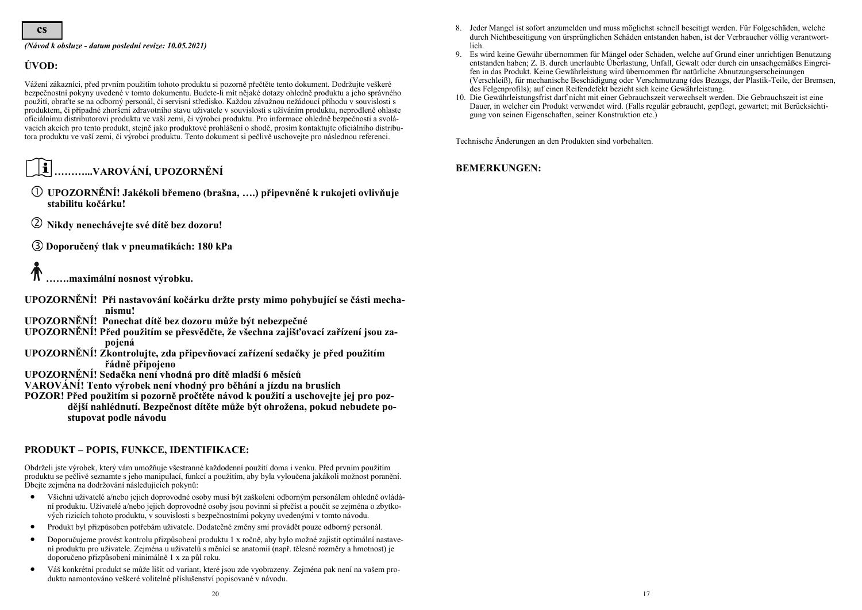#### *(Návod k obsluze - datum poslední revize: 10.05.2021)*

## **ÚVOD:**

Vážení zákazníci, před prvním použitím tohoto produktu si pozorně přečtěte tento dokument. Dodržujte veškeré bezpečnostní pokyny uvedené v tomto dokumentu. Budete-li mít nějaké dotazy ohledně produktu a jeho správného použití, obraťte se na odborný personál, či servisní středisko. Každou závažnou nežádoucí příhodu v souvislosti s produktem, či případné zhoršení zdravotního stavu uživatele v souvislosti s užíváním produktu, neprodleně ohlaste oficiálnímu distributorovi produktu ve vaší zemi, či výrobci produktu. Pro informace ohledně bezpečnosti a svolávacích akcích pro tento produkt, stejně jako produktové prohlášení o shodě, prosím kontaktujte oficiálního distributora produktu ve vaší zemi, či výrobci produktu. Tento dokument si pečlivě uschovejte pro následnou referenci.

#### $\mathbf{f}$ **………...VAROVÁNÍ, UPOZORNĚNÍ**

- **UPOZORNĚNÍ! Jakékoli břemeno (brašna, ….) připevněné k rukojeti ovlivňuje stabilitu kočárku!**
- $^{\circledR}$ **Nikdy nenechávejte své dítě bez dozoru!**
- **Doporučený tlak v pneumatikách: 180 kPa**

# **…….maximální nosnost výrobku.**

- **UPOZORNĚNÍ! Při nastavování kočárku držte prsty mimo pohybující se části mechanismu!**
- **UPOZORNĚNÍ! Ponechat dítě bez dozoru může být nebezpečné**
- **UPOZORNĚNÍ! Před použitím se přesvědčte, že všechna zajišťovací zařízení jsou zapojená**
- **UPOZORNĚNÍ! Zkontrolujte, zda připevňovací zařízení sedačky je před použitím řádně připojeno**
- **UPOZORNĚNÍ! Sedačka není vhodná pro dítě mladší 6 měsíců**
- **VAROVÁNÍ! Tento výrobek není vhodný pro běhání a jízdu na bruslích**
- **POZOR! Před použitím si pozorně pročtěte návod k použití a uschovejte jej pro pozdější nahlédnutí. Bezpečnost dítěte může být ohrožena, pokud nebudete postupovat podle návodu**

## **PRODUKT – POPIS, FUNKCE, IDENTIFIKACE:**

Obdrželi jste výrobek, který vám umožňuje všestranné každodenní použití doma i venku. Před prvním použitím produktu se pečlivě seznamte s jeho manipulací, funkcí a použitím, aby byla vyloučena jakákoli možnost poranění. Dbejte zejména na dodržování následujících pokynů:

- Všichni uživatelé a/nebo jejich doprovodné osoby musí být zaškoleni odborným personálem ohledně ovládání produktu. Uživatelé a/nebo jejich doprovodné osoby jsou povinni si přečíst a poučit se zejména o zbytkových rizicích tohoto produktu, v souvislosti s bezpečnostními pokyny uvedenými v tomto návodu.
- Produkt byl přizpůsoben potřebám uživatele. Dodatečné změny smí provádět pouze odborný personál.
- Doporučujeme provést kontrolu přizpůsobení produktu 1 x ročně, aby bylo možné zajistit optimální nastavení produktu pro uživatele. Zejména u uživatelů s měnící se anatomií (např. tělesné rozměry a hmotnost) je doporučeno přizpůsobení minimálně 1 x za půl roku.
- Váš konkrétní produkt se může lišit od variant, které jsou zde vyobrazeny. Zejména pak není na vašem produktu namontováno veškeré volitelné příslušenství popisované v návodu.
- 8. Jeder Mangel ist sofort anzumelden und muss möglichst schnell beseitigt werden. Für Folgeschäden, welche durch Nichtbeseitigung von ürsprünglichen Schäden entstanden haben, ist der Verbraucher völlig verantwortlich.
- 9. Es wird keine Gewähr übernommen für Mängel oder Schäden, welche auf Grund einer unrichtigen Benutzung entstanden haben; Z. B. durch unerlaubte Überlastung, Unfall, Gewalt oder durch ein unsachgemäßes Eingreifen in das Produkt. Keine Gewährleistung wird übernommen für natürliche Abnutzungserscheinungen (Verschleiß), für mechanische Beschädigung oder Verschmutzung (des Bezugs, der Plastik-Teile, der Bremsen, des Felgenprofils); auf einen Reifendefekt bezieht sich keine Gewährleistung.
- 10. Die Gewährleistungsfrist darf nicht mit einer Gebrauchszeit verwechselt werden. Die Gebrauchszeit ist eine Dauer, in welcher ein Produkt verwendet wird. (Falls regulär gebraucht, gepflegt, gewartet; mit Berücksichtigung von seinen Eigenschaften, seiner Konstruktion etc.)

Technische Änderungen an den Produkten sind vorbehalten.

### **BEMERKUNGEN:**